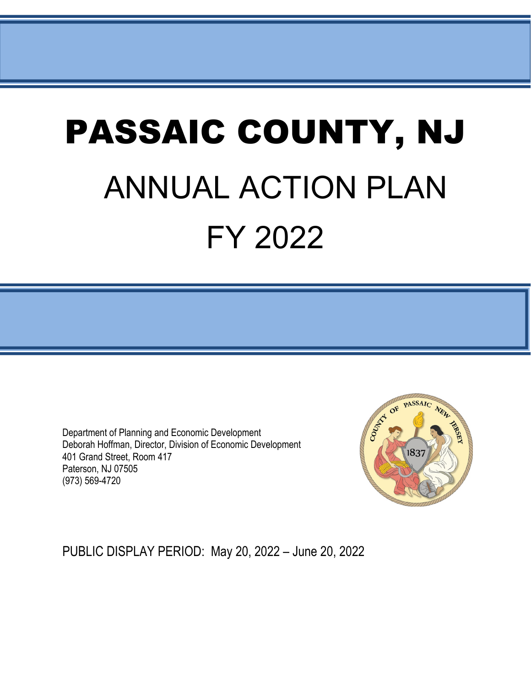# PASSAIC COUNTY, NJ ANNUAL ACTION PLAN FY 2022

Department of Planning and Economic Development Deborah Hoffman, Director, Division of Economic Development 401 Grand Street, Room 417 Paterson, NJ 07505 (973) 569-4720



PUBLIC DISPLAY PERIOD: May 20, 2022 – June 20, 2022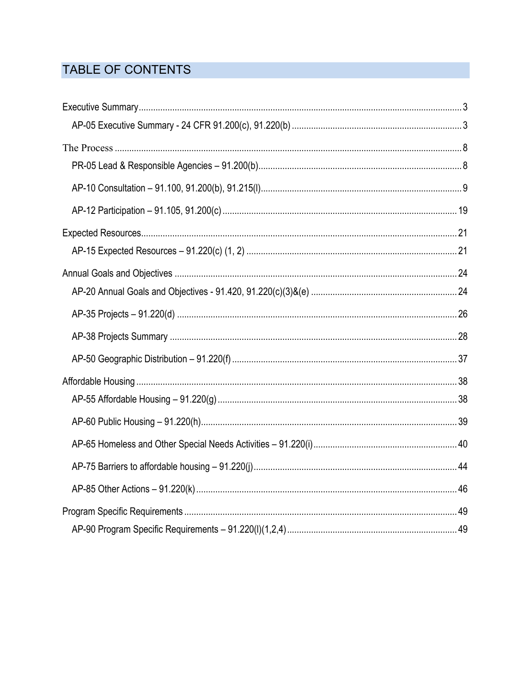# TABLE OF CONTENTS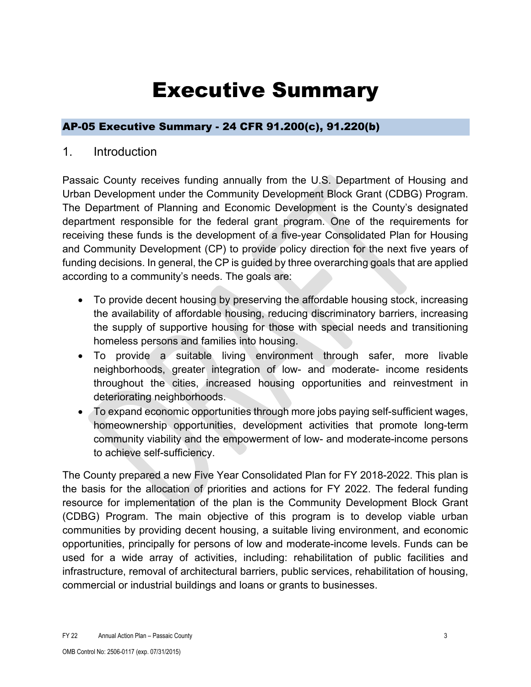# Executive Summary

### <span id="page-2-1"></span><span id="page-2-0"></span>AP-05 Executive Summary - 24 CFR 91.200(c), 91.220(b)

### 1. Introduction

Passaic County receives funding annually from the U.S. Department of Housing and Urban Development under the Community Development Block Grant (CDBG) Program. The Department of Planning and Economic Development is the County's designated department responsible for the federal grant program. One of the requirements for receiving these funds is the development of a five-year Consolidated Plan for Housing and Community Development (CP) to provide policy direction for the next five years of funding decisions. In general, the CP is guided by three overarching goals that are applied according to a community's needs. The goals are:

- To provide decent housing by preserving the affordable housing stock, increasing the availability of affordable housing, reducing discriminatory barriers, increasing the supply of supportive housing for those with special needs and transitioning homeless persons and families into housing.
- To provide a suitable living environment through safer, more livable neighborhoods, greater integration of low- and moderate- income residents throughout the cities, increased housing opportunities and reinvestment in deteriorating neighborhoods.
- To expand economic opportunities through more jobs paying self-sufficient wages, homeownership opportunities, development activities that promote long-term community viability and the empowerment of low- and moderate-income persons to achieve self-sufficiency.

The County prepared a new Five Year Consolidated Plan for FY 2018-2022. This plan is the basis for the allocation of priorities and actions for FY 2022. The federal funding resource for implementation of the plan is the Community Development Block Grant (CDBG) Program. The main objective of this program is to develop viable urban communities by providing decent housing, a suitable living environment, and economic opportunities, principally for persons of low and moderate-income levels. Funds can be used for a wide array of activities, including: rehabilitation of public facilities and infrastructure, removal of architectural barriers, public services, rehabilitation of housing, commercial or industrial buildings and loans or grants to businesses.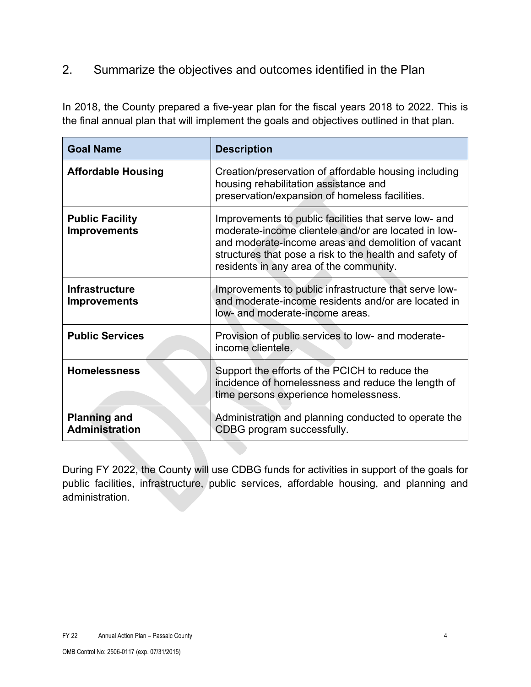### 2. Summarize the objectives and outcomes identified in the Plan

In 2018, the County prepared a five-year plan for the fiscal years 2018 to 2022. This is the final annual plan that will implement the goals and objectives outlined in that plan.

| <b>Goal Name</b>                              | <b>Description</b>                                                                                                                                                                                                                                                        |
|-----------------------------------------------|---------------------------------------------------------------------------------------------------------------------------------------------------------------------------------------------------------------------------------------------------------------------------|
| <b>Affordable Housing</b>                     | Creation/preservation of affordable housing including<br>housing rehabilitation assistance and<br>preservation/expansion of homeless facilities.                                                                                                                          |
| <b>Public Facility</b><br><b>Improvements</b> | Improvements to public facilities that serve low- and<br>moderate-income clientele and/or are located in low-<br>and moderate-income areas and demolition of vacant<br>structures that pose a risk to the health and safety of<br>residents in any area of the community. |
| <b>Infrastructure</b><br><b>Improvements</b>  | Improvements to public infrastructure that serve low-<br>and moderate-income residents and/or are located in<br>low- and moderate-income areas.                                                                                                                           |
| <b>Public Services</b>                        | Provision of public services to low- and moderate-<br>income clientele.                                                                                                                                                                                                   |
| <b>Homelessness</b>                           | Support the efforts of the PCICH to reduce the<br>incidence of homelessness and reduce the length of<br>time persons experience homelessness.                                                                                                                             |
| <b>Planning and</b><br><b>Administration</b>  | Administration and planning conducted to operate the<br>CDBG program successfully.                                                                                                                                                                                        |

During FY 2022, the County will use CDBG funds for activities in support of the goals for public facilities, infrastructure, public services, affordable housing, and planning and administration.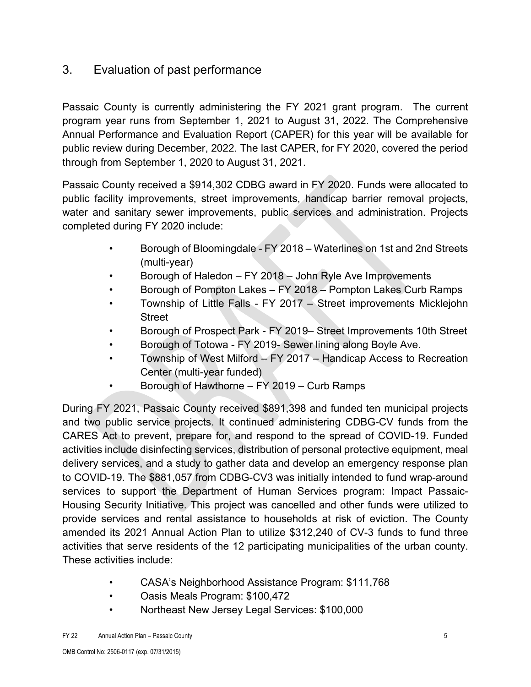### 3. Evaluation of past performance

Passaic County is currently administering the FY 2021 grant program. The current program year runs from September 1, 2021 to August 31, 2022. The Comprehensive Annual Performance and Evaluation Report (CAPER) for this year will be available for public review during December, 2022. The last CAPER, for FY 2020, covered the period through from September 1, 2020 to August 31, 2021.

Passaic County received a \$914,302 CDBG award in FY 2020. Funds were allocated to public facility improvements, street improvements, handicap barrier removal projects, water and sanitary sewer improvements, public services and administration. Projects completed during FY 2020 include:

- Borough of Bloomingdale FY 2018 Waterlines on 1st and 2nd Streets (multi-year)
- Borough of Haledon FY 2018 John Ryle Ave Improvements
- Borough of Pompton Lakes FY 2018 Pompton Lakes Curb Ramps
- Township of Little Falls FY 2017 Street improvements Micklejohn **Street**
- Borough of Prospect Park FY 2019– Street Improvements 10th Street
- Borough of Totowa FY 2019- Sewer lining along Boyle Ave.
- Township of West Milford FY 2017 Handicap Access to Recreation Center (multi-year funded)
- Borough of Hawthorne FY 2019 Curb Ramps

During FY 2021, Passaic County received \$891,398 and funded ten municipal projects and two public service projects. It continued administering CDBG-CV funds from the CARES Act to prevent, prepare for, and respond to the spread of COVID-19. Funded activities include disinfecting services, distribution of personal protective equipment, meal delivery services, and a study to gather data and develop an emergency response plan to COVID-19. The \$881,057 from CDBG-CV3 was initially intended to fund wrap-around services to support the Department of Human Services program: Impact Passaic-Housing Security Initiative. This project was cancelled and other funds were utilized to provide services and rental assistance to households at risk of eviction. The County amended its 2021 Annual Action Plan to utilize \$312,240 of CV-3 funds to fund three activities that serve residents of the 12 participating municipalities of the urban county. These activities include:

- CASA's Neighborhood Assistance Program: \$111,768
- Oasis Meals Program: \$100,472
- Northeast New Jersey Legal Services: \$100,000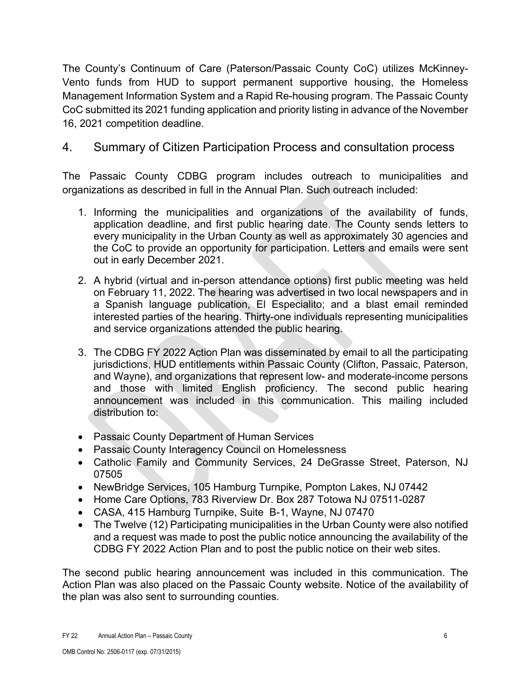The County's Continuum of Care (Paterson/Passaic County CoC) utilizes McKinney-Vento funds from HUD to support permanent supportive housing, the Homeless Management Information System and a Rapid Re-housing program. The Passaic County CoC submitted its 2021 funding application and priority listing in advance of the November 16, 2021 competition deadline.

### 4. Summary of Citizen Participation Process and consultation process

The Passaic County CDBG program includes outreach to municipalities and organizations as described in full in the Annual Plan. Such outreach included:

- 1. Informing the municipalities and organizations of the availability of funds, application deadline, and first public hearing date. The County sends letters to every municipality in the Urban County as well as approximately 30 agencies and the CoC to provide an opportunity for participation. Letters and emails were sent out in early December 2021.
- 2. A hybrid (virtual and in-person attendance options) first public meeting was held on February 11, 2022. The hearing was advertised in two local newspapers and in a Spanish language publication, El Especialito; and a blast email reminded interested parties of the hearing. Thirty-one individuals representing municipalities and service organizations attended the public hearing.
- 3. The CDBG FY 2022 Action Plan was disseminated by email to all the participating jurisdictions, HUD entitlements within Passaic County (Clifton, Passaic, Paterson, and Wayne), and organizations that represent low- and moderate-income persons and those with limited English proficiency. The second public hearing announcement was included in this communication. This mailing included distribution to:
- Passaic County Department of Human Services
- Passaic County Interagency Council on Homelessness
- Catholic Family and Community Services, 24 DeGrasse Street, Paterson, NJ 07505
- NewBridge Services, 105 Hamburg Turnpike, Pompton Lakes, NJ 07442
- Home Care Options, 783 Riverview Dr. Box 287 Totowa NJ 07511-0287
- CASA, 415 Hamburg Turnpike, Suite B-1, Wayne, NJ 07470
- The Twelve (12) Participating municipalities in the Urban County were also notified and a request was made to post the public notice announcing the availability of the CDBG FY 2022 Action Plan and to post the public notice on their web sites.

The second public hearing announcement was included in this communication. The Action Plan was also placed on the Passaic County website. Notice of the availability of the plan was also sent to surrounding counties.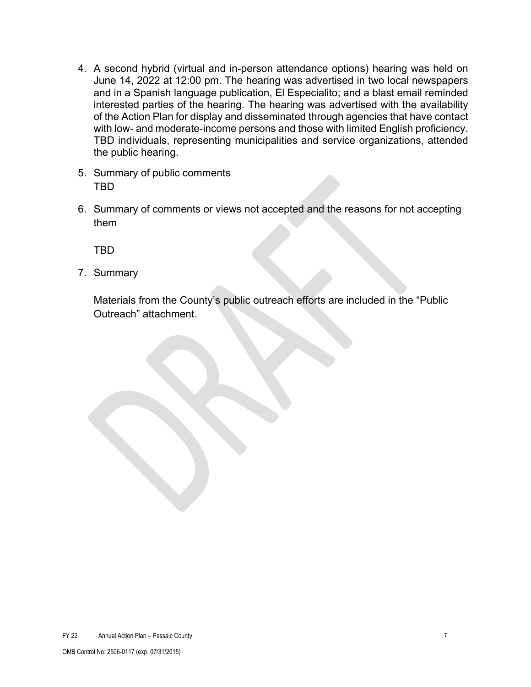- 4. A second hybrid (virtual and in-person attendance options) hearing was held on June 14, 2022 at 12:00 pm. The hearing was advertised in two local newspapers and in a Spanish language publication, El Especialito; and a blast email reminded interested parties of the hearing. The hearing was advertised with the availability of the Action Plan for display and disseminated through agencies that have contact with low- and moderate-income persons and those with limited English proficiency. TBD individuals, representing municipalities and service organizations, attended the public hearing.
- 5. Summary of public comments TBD
- 6. Summary of comments or views not accepted and the reasons for not accepting them

TBD

7. Summary

Materials from the County's public outreach efforts are included in the "Public Outreach" attachment.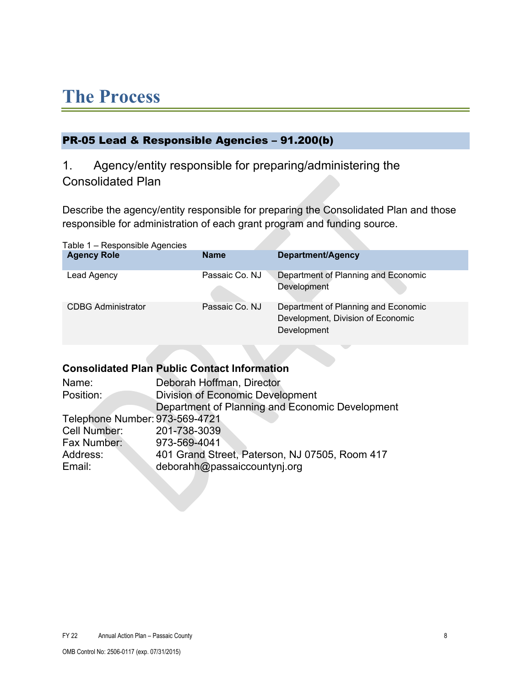# <span id="page-7-0"></span>**The Process**

### <span id="page-7-1"></span>PR-05 Lead & Responsible Agencies – 91.200(b)

## 1. Agency/entity responsible for preparing/administering the Consolidated Plan

Describe the agency/entity responsible for preparing the Consolidated Plan and those responsible for administration of each grant program and funding source.

| Table 1 – Responsible Agencies |                |                                                                                         |
|--------------------------------|----------------|-----------------------------------------------------------------------------------------|
| <b>Agency Role</b>             | <b>Name</b>    | Department/Agency                                                                       |
| Lead Agency                    | Passaic Co. NJ | Department of Planning and Economic<br>Development                                      |
| <b>CDBG Administrator</b>      | Passaic Co. NJ | Department of Planning and Economic<br>Development, Division of Economic<br>Development |

### **Consolidated Plan Public Contact Information**

| Name:                          | Deborah Hoffman, Director                       |
|--------------------------------|-------------------------------------------------|
| Position:                      | <b>Division of Economic Development</b>         |
|                                | Department of Planning and Economic Development |
| Telephone Number: 973-569-4721 |                                                 |
| Cell Number:                   | 201-738-3039                                    |
| Fax Number:                    | 973-569-4041                                    |
| Address:                       | 401 Grand Street, Paterson, NJ 07505, Room 417  |
| Email:                         | deborahh@passaiccountynj.org                    |
|                                |                                                 |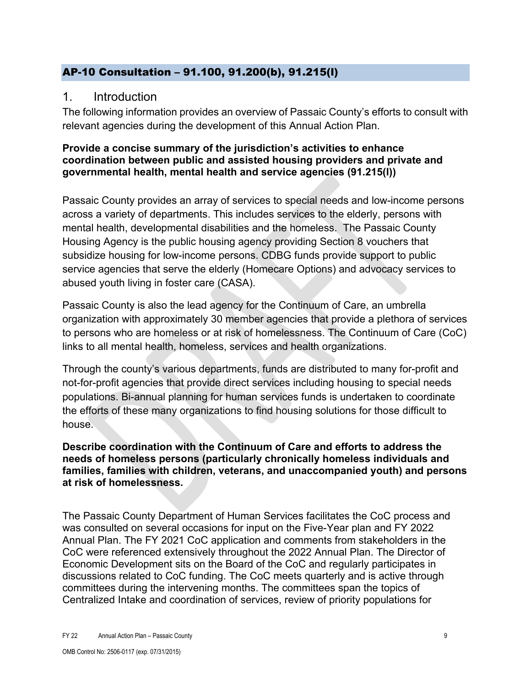### <span id="page-8-0"></span>AP-10 Consultation – 91.100, 91.200(b), 91.215(l)

### 1. Introduction

The following information provides an overview of Passaic County's efforts to consult with relevant agencies during the development of this Annual Action Plan.

### **Provide a concise summary of the jurisdiction's activities to enhance coordination between public and assisted housing providers and private and governmental health, mental health and service agencies (91.215(l))**

Passaic County provides an array of services to special needs and low-income persons across a variety of departments. This includes services to the elderly, persons with mental health, developmental disabilities and the homeless. The Passaic County Housing Agency is the public housing agency providing Section 8 vouchers that subsidize housing for low-income persons. CDBG funds provide support to public service agencies that serve the elderly (Homecare Options) and advocacy services to abused youth living in foster care (CASA).

Passaic County is also the lead agency for the Continuum of Care, an umbrella organization with approximately 30 member agencies that provide a plethora of services to persons who are homeless or at risk of homelessness. The Continuum of Care (CoC) links to all mental health, homeless, services and health organizations.

Through the county's various departments, funds are distributed to many for-profit and not-for-profit agencies that provide direct services including housing to special needs populations. Bi-annual planning for human services funds is undertaken to coordinate the efforts of these many organizations to find housing solutions for those difficult to house.

#### **Describe coordination with the Continuum of Care and efforts to address the needs of homeless persons (particularly chronically homeless individuals and families, families with children, veterans, and unaccompanied youth) and persons at risk of homelessness.**

The Passaic County Department of Human Services facilitates the CoC process and was consulted on several occasions for input on the Five-Year plan and FY 2022 Annual Plan. The FY 2021 CoC application and comments from stakeholders in the CoC were referenced extensively throughout the 2022 Annual Plan. The Director of Economic Development sits on the Board of the CoC and regularly participates in discussions related to CoC funding. The CoC meets quarterly and is active through committees during the intervening months. The committees span the topics of Centralized Intake and coordination of services, review of priority populations for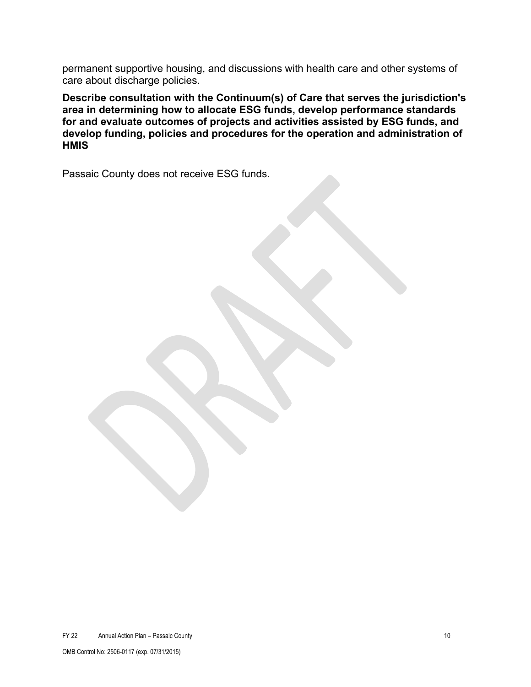permanent supportive housing, and discussions with health care and other systems of care about discharge policies.

**Describe consultation with the Continuum(s) of Care that serves the jurisdiction's area in determining how to allocate ESG funds, develop performance standards for and evaluate outcomes of projects and activities assisted by ESG funds, and develop funding, policies and procedures for the operation and administration of HMIS**

Passaic County does not receive ESG funds.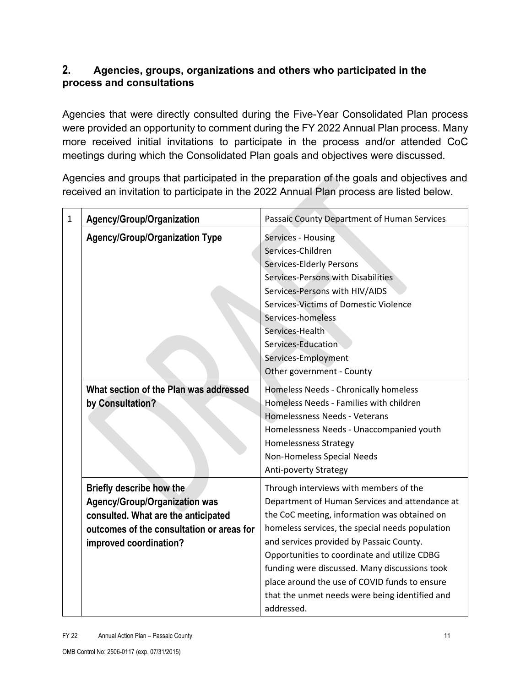### **2. Agencies, groups, organizations and others who participated in the process and consultations**

Agencies that were directly consulted during the Five-Year Consolidated Plan process were provided an opportunity to comment during the FY 2022 Annual Plan process. Many more received initial invitations to participate in the process and/or attended CoC meetings during which the Consolidated Plan goals and objectives were discussed.

Agencies and groups that participated in the preparation of the goals and objectives and received an invitation to participate in the 2022 Annual Plan process are listed below.

| $\mathbf{1}$ | Agency/Group/Organization                                                                                                                                                      | Passaic County Department of Human Services                                                                                                                                                                                                                                                                                                                                                                                                               |  |  |
|--------------|--------------------------------------------------------------------------------------------------------------------------------------------------------------------------------|-----------------------------------------------------------------------------------------------------------------------------------------------------------------------------------------------------------------------------------------------------------------------------------------------------------------------------------------------------------------------------------------------------------------------------------------------------------|--|--|
|              | <b>Agency/Group/Organization Type</b>                                                                                                                                          | Services - Housing<br>Services-Children<br>Services-Elderly Persons<br>Services-Persons with Disabilities<br>Services-Persons with HIV/AIDS<br>Services-Victims of Domestic Violence<br>Services-homeless<br>Services-Health<br>Services-Education<br>Services-Employment<br>Other government - County                                                                                                                                                    |  |  |
|              | What section of the Plan was addressed<br>by Consultation?                                                                                                                     | Homeless Needs - Chronically homeless<br>Homeless Needs - Families with children<br>Homelessness Needs - Veterans<br>Homelessness Needs - Unaccompanied youth<br><b>Homelessness Strategy</b><br>Non-Homeless Special Needs<br>Anti-poverty Strategy                                                                                                                                                                                                      |  |  |
|              | Briefly describe how the<br><b>Agency/Group/Organization was</b><br>consulted. What are the anticipated<br>outcomes of the consultation or areas for<br>improved coordination? | Through interviews with members of the<br>Department of Human Services and attendance at<br>the CoC meeting, information was obtained on<br>homeless services, the special needs population<br>and services provided by Passaic County.<br>Opportunities to coordinate and utilize CDBG<br>funding were discussed. Many discussions took<br>place around the use of COVID funds to ensure<br>that the unmet needs were being identified and<br>addressed. |  |  |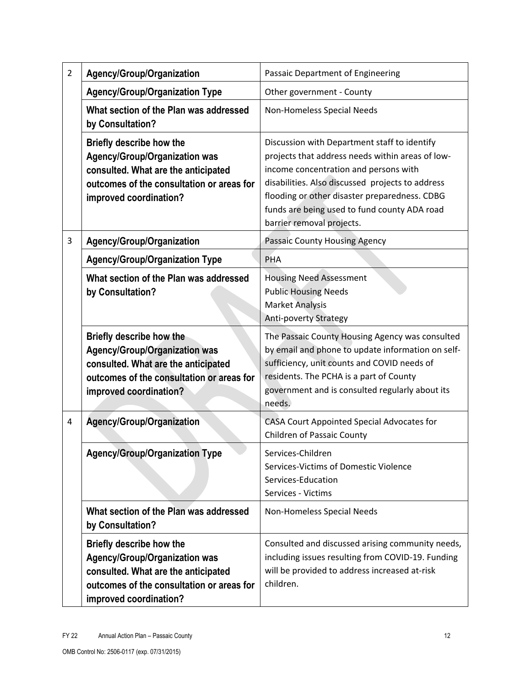| $\overline{2}$ | Agency/Group/Organization                                                                                                                                                      | Passaic Department of Engineering                                                                                                                                                                                                                                                                                           |  |  |
|----------------|--------------------------------------------------------------------------------------------------------------------------------------------------------------------------------|-----------------------------------------------------------------------------------------------------------------------------------------------------------------------------------------------------------------------------------------------------------------------------------------------------------------------------|--|--|
|                | <b>Agency/Group/Organization Type</b>                                                                                                                                          | Other government - County                                                                                                                                                                                                                                                                                                   |  |  |
|                | What section of the Plan was addressed<br>by Consultation?                                                                                                                     | Non-Homeless Special Needs                                                                                                                                                                                                                                                                                                  |  |  |
|                | <b>Briefly describe how the</b><br>Agency/Group/Organization was<br>consulted. What are the anticipated<br>outcomes of the consultation or areas for<br>improved coordination? | Discussion with Department staff to identify<br>projects that address needs within areas of low-<br>income concentration and persons with<br>disabilities. Also discussed projects to address<br>flooding or other disaster preparedness. CDBG<br>funds are being used to fund county ADA road<br>barrier removal projects. |  |  |
| 3              | Agency/Group/Organization                                                                                                                                                      | Passaic County Housing Agency                                                                                                                                                                                                                                                                                               |  |  |
|                | <b>Agency/Group/Organization Type</b>                                                                                                                                          | PHA                                                                                                                                                                                                                                                                                                                         |  |  |
|                | What section of the Plan was addressed<br>by Consultation?                                                                                                                     | <b>Housing Need Assessment</b><br><b>Public Housing Needs</b><br><b>Market Analysis</b><br>Anti-poverty Strategy                                                                                                                                                                                                            |  |  |
|                | Briefly describe how the<br><b>Agency/Group/Organization was</b><br>consulted. What are the anticipated<br>outcomes of the consultation or areas for<br>improved coordination? | The Passaic County Housing Agency was consulted<br>by email and phone to update information on self-<br>sufficiency, unit counts and COVID needs of<br>residents. The PCHA is a part of County<br>government and is consulted regularly about its<br>needs.                                                                 |  |  |
| 4              | Agency/Group/Organization                                                                                                                                                      | CASA Court Appointed Special Advocates for<br><b>Children of Passaic County</b>                                                                                                                                                                                                                                             |  |  |
|                | <b>Agency/Group/Organization Type</b>                                                                                                                                          | Services-Children<br>Services-Victims of Domestic Violence<br>Services-Education<br>Services - Victims                                                                                                                                                                                                                      |  |  |
|                | What section of the Plan was addressed<br>by Consultation?                                                                                                                     | Non-Homeless Special Needs                                                                                                                                                                                                                                                                                                  |  |  |
|                | Briefly describe how the<br><b>Agency/Group/Organization was</b><br>consulted. What are the anticipated<br>outcomes of the consultation or areas for<br>improved coordination? | Consulted and discussed arising community needs,<br>including issues resulting from COVID-19. Funding<br>will be provided to address increased at-risk<br>children.                                                                                                                                                         |  |  |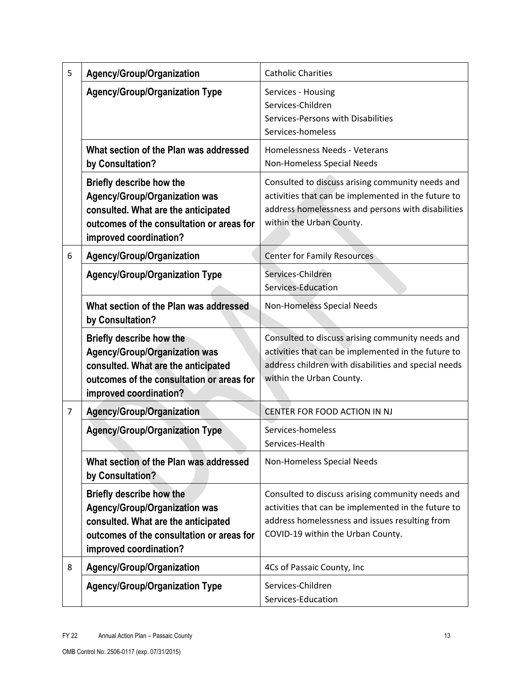| 5                                                          | Agency/Group/Organization                                                                                                                                                             | <b>Catholic Charities</b>                                                                                                                                                                      |  |  |
|------------------------------------------------------------|---------------------------------------------------------------------------------------------------------------------------------------------------------------------------------------|------------------------------------------------------------------------------------------------------------------------------------------------------------------------------------------------|--|--|
|                                                            | <b>Agency/Group/Organization Type</b>                                                                                                                                                 | Services - Housing<br>Services-Children<br>Services-Persons with Disabilities<br>Services-homeless                                                                                             |  |  |
|                                                            | What section of the Plan was addressed<br>by Consultation?                                                                                                                            | Homelessness Needs - Veterans<br>Non-Homeless Special Needs                                                                                                                                    |  |  |
|                                                            | <b>Briefly describe how the</b><br>Agency/Group/Organization was<br>consulted. What are the anticipated<br>outcomes of the consultation or areas for<br>improved coordination?        | Consulted to discuss arising community needs and<br>activities that can be implemented in the future to<br>address homelessness and persons with disabilities<br>within the Urban County.      |  |  |
| 6                                                          | Agency/Group/Organization                                                                                                                                                             | <b>Center for Family Resources</b>                                                                                                                                                             |  |  |
|                                                            | <b>Agency/Group/Organization Type</b>                                                                                                                                                 | Services-Children<br>Services-Education                                                                                                                                                        |  |  |
| What section of the Plan was addressed<br>by Consultation? |                                                                                                                                                                                       | Non-Homeless Special Needs                                                                                                                                                                     |  |  |
|                                                            | <b>Briefly describe how the</b><br><b>Agency/Group/Organization was</b><br>consulted. What are the anticipated<br>outcomes of the consultation or areas for<br>improved coordination? | Consulted to discuss arising community needs and<br>activities that can be implemented in the future to<br>address children with disabilities and special needs<br>within the Urban County.    |  |  |
| $\overline{7}$                                             | <b>Agency/Group/Organization</b>                                                                                                                                                      | CENTER FOR FOOD ACTION IN NJ                                                                                                                                                                   |  |  |
|                                                            | <b>Agency/Group/Organization Type</b>                                                                                                                                                 | Services-homeless<br>Services-Health                                                                                                                                                           |  |  |
|                                                            | What section of the Plan was addressed<br>by Consultation?                                                                                                                            | Non-Homeless Special Needs                                                                                                                                                                     |  |  |
|                                                            | <b>Briefly describe how the</b><br><b>Agency/Group/Organization was</b><br>consulted. What are the anticipated<br>outcomes of the consultation or areas for<br>improved coordination? | Consulted to discuss arising community needs and<br>activities that can be implemented in the future to<br>address homelessness and issues resulting from<br>COVID-19 within the Urban County. |  |  |
| 8                                                          | Agency/Group/Organization                                                                                                                                                             | 4Cs of Passaic County, Inc                                                                                                                                                                     |  |  |
|                                                            | <b>Agency/Group/Organization Type</b>                                                                                                                                                 | Services-Children<br>Services-Education                                                                                                                                                        |  |  |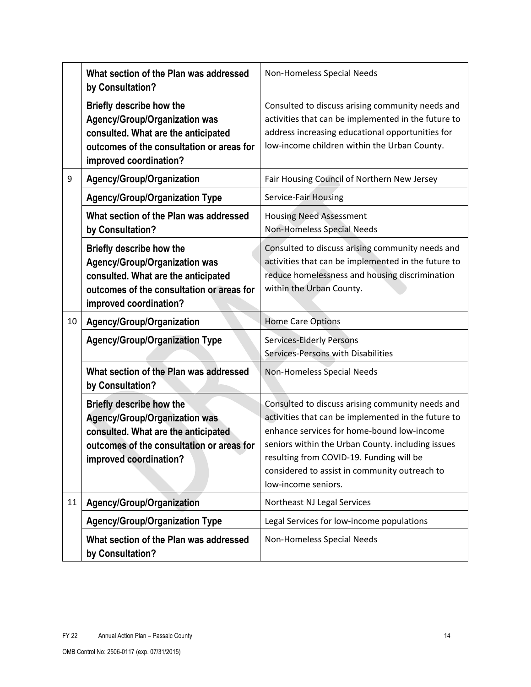|    | What section of the Plan was addressed<br>by Consultation?                                                                                                                     | Non-Homeless Special Needs                                                                                                                                                                                                                                                                                                     |
|----|--------------------------------------------------------------------------------------------------------------------------------------------------------------------------------|--------------------------------------------------------------------------------------------------------------------------------------------------------------------------------------------------------------------------------------------------------------------------------------------------------------------------------|
|    | Briefly describe how the<br><b>Agency/Group/Organization was</b><br>consulted. What are the anticipated<br>outcomes of the consultation or areas for<br>improved coordination? | Consulted to discuss arising community needs and<br>activities that can be implemented in the future to<br>address increasing educational opportunities for<br>low-income children within the Urban County.                                                                                                                    |
| 9  | Agency/Group/Organization                                                                                                                                                      | Fair Housing Council of Northern New Jersey                                                                                                                                                                                                                                                                                    |
|    | <b>Agency/Group/Organization Type</b>                                                                                                                                          | Service-Fair Housing                                                                                                                                                                                                                                                                                                           |
|    | What section of the Plan was addressed<br>by Consultation?                                                                                                                     | <b>Housing Need Assessment</b><br>Non-Homeless Special Needs                                                                                                                                                                                                                                                                   |
|    | Briefly describe how the<br><b>Agency/Group/Organization was</b><br>consulted. What are the anticipated<br>outcomes of the consultation or areas for<br>improved coordination? | Consulted to discuss arising community needs and<br>activities that can be implemented in the future to<br>reduce homelessness and housing discrimination<br>within the Urban County.                                                                                                                                          |
|    |                                                                                                                                                                                |                                                                                                                                                                                                                                                                                                                                |
| 10 | Agency/Group/Organization                                                                                                                                                      | <b>Home Care Options</b>                                                                                                                                                                                                                                                                                                       |
|    | <b>Agency/Group/Organization Type</b>                                                                                                                                          | <b>Services-Elderly Persons</b><br>Services-Persons with Disabilities                                                                                                                                                                                                                                                          |
|    | What section of the Plan was addressed<br>by Consultation?                                                                                                                     | Non-Homeless Special Needs                                                                                                                                                                                                                                                                                                     |
|    | Briefly describe how the<br><b>Agency/Group/Organization was</b><br>consulted. What are the anticipated<br>outcomes of the consultation or areas for<br>improved coordination? | Consulted to discuss arising community needs and<br>activities that can be implemented in the future to<br>enhance services for home-bound low-income<br>seniors within the Urban County. including issues<br>resulting from COVID-19. Funding will be<br>considered to assist in community outreach to<br>low-income seniors. |
| 11 | Agency/Group/Organization                                                                                                                                                      | Northeast NJ Legal Services                                                                                                                                                                                                                                                                                                    |
|    | <b>Agency/Group/Organization Type</b>                                                                                                                                          | Legal Services for low-income populations                                                                                                                                                                                                                                                                                      |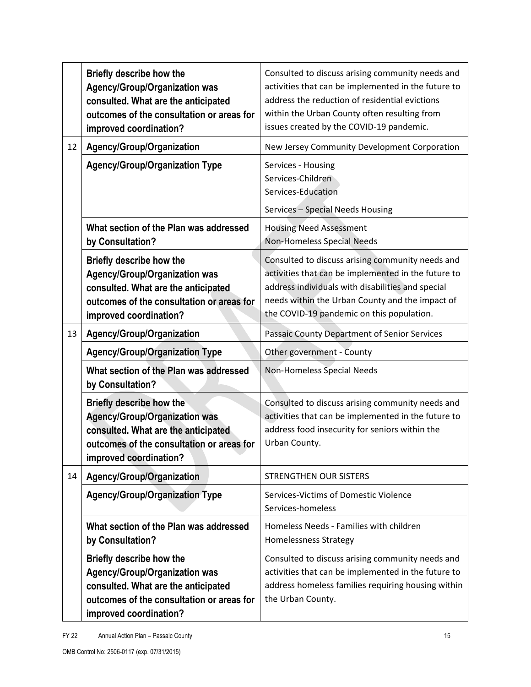|    | Briefly describe how the<br>Agency/Group/Organization was<br>consulted. What are the anticipated<br>outcomes of the consultation or areas for<br>improved coordination?        | Consulted to discuss arising community needs and<br>activities that can be implemented in the future to<br>address the reduction of residential evictions<br>within the Urban County often resulting from<br>issues created by the COVID-19 pandemic.        |
|----|--------------------------------------------------------------------------------------------------------------------------------------------------------------------------------|--------------------------------------------------------------------------------------------------------------------------------------------------------------------------------------------------------------------------------------------------------------|
| 12 | Agency/Group/Organization                                                                                                                                                      | New Jersey Community Development Corporation                                                                                                                                                                                                                 |
|    | <b>Agency/Group/Organization Type</b>                                                                                                                                          | Services - Housing<br>Services-Children<br>Services-Education<br>Services - Special Needs Housing                                                                                                                                                            |
|    | What section of the Plan was addressed<br>by Consultation?                                                                                                                     | <b>Housing Need Assessment</b><br>Non-Homeless Special Needs                                                                                                                                                                                                 |
|    | Briefly describe how the<br>Agency/Group/Organization was<br>consulted. What are the anticipated<br>outcomes of the consultation or areas for<br>improved coordination?        | Consulted to discuss arising community needs and<br>activities that can be implemented in the future to<br>address individuals with disabilities and special<br>needs within the Urban County and the impact of<br>the COVID-19 pandemic on this population. |
| 13 | Agency/Group/Organization                                                                                                                                                      | Passaic County Department of Senior Services                                                                                                                                                                                                                 |
|    | <b>Agency/Group/Organization Type</b>                                                                                                                                          | Other government - County                                                                                                                                                                                                                                    |
|    | What section of the Plan was addressed<br>by Consultation?                                                                                                                     | Non-Homeless Special Needs                                                                                                                                                                                                                                   |
|    | Briefly describe how the<br><b>Agency/Group/Organization was</b><br>consulted. What are the anticipated<br>outcomes of the consultation or areas for<br>improved coordination? | Consulted to discuss arising community needs and<br>activities that can be implemented in the future to<br>address food insecurity for seniors within the<br>Urban County.                                                                                   |
| 14 | <b>Agency/Group/Organization</b>                                                                                                                                               | STRENGTHEN OUR SISTERS                                                                                                                                                                                                                                       |
|    | <b>Agency/Group/Organization Type</b>                                                                                                                                          | Services-Victims of Domestic Violence<br>Services-homeless                                                                                                                                                                                                   |
|    | What section of the Plan was addressed<br>by Consultation?                                                                                                                     | Homeless Needs - Families with children<br>Homelessness Strategy                                                                                                                                                                                             |
|    | Briefly describe how the<br><b>Agency/Group/Organization was</b><br>consulted. What are the anticipated<br>outcomes of the consultation or areas for<br>improved coordination? | Consulted to discuss arising community needs and<br>activities that can be implemented in the future to<br>address homeless families requiring housing within<br>the Urban County.                                                                           |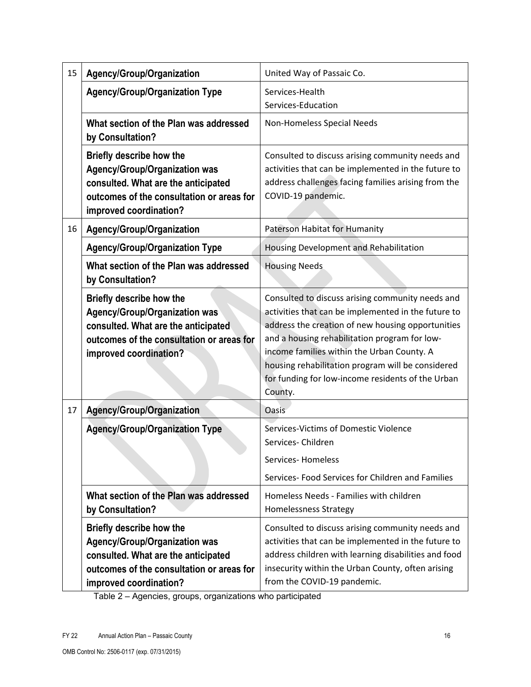| 15 | Agency/Group/Organization                                                                                                                                                      | United Way of Passaic Co.                                                                                                                                                                                                                                                                                                                                                        |
|----|--------------------------------------------------------------------------------------------------------------------------------------------------------------------------------|----------------------------------------------------------------------------------------------------------------------------------------------------------------------------------------------------------------------------------------------------------------------------------------------------------------------------------------------------------------------------------|
|    | <b>Agency/Group/Organization Type</b>                                                                                                                                          | Services-Health<br>Services-Education                                                                                                                                                                                                                                                                                                                                            |
|    | What section of the Plan was addressed<br>by Consultation?                                                                                                                     | Non-Homeless Special Needs                                                                                                                                                                                                                                                                                                                                                       |
|    | <b>Briefly describe how the</b><br>Agency/Group/Organization was<br>consulted. What are the anticipated<br>outcomes of the consultation or areas for<br>improved coordination? | Consulted to discuss arising community needs and<br>activities that can be implemented in the future to<br>address challenges facing families arising from the<br>COVID-19 pandemic.                                                                                                                                                                                             |
| 16 | Agency/Group/Organization                                                                                                                                                      | Paterson Habitat for Humanity                                                                                                                                                                                                                                                                                                                                                    |
|    | <b>Agency/Group/Organization Type</b>                                                                                                                                          | Housing Development and Rehabilitation                                                                                                                                                                                                                                                                                                                                           |
|    | What section of the Plan was addressed<br>by Consultation?                                                                                                                     | <b>Housing Needs</b>                                                                                                                                                                                                                                                                                                                                                             |
|    | <b>Briefly describe how the</b><br>Agency/Group/Organization was<br>consulted. What are the anticipated<br>outcomes of the consultation or areas for<br>improved coordination? | Consulted to discuss arising community needs and<br>activities that can be implemented in the future to<br>address the creation of new housing opportunities<br>and a housing rehabilitation program for low-<br>income families within the Urban County. A<br>housing rehabilitation program will be considered<br>for funding for low-income residents of the Urban<br>County. |
| 17 | <b>Agency/Group/Organization</b>                                                                                                                                               | Oasis                                                                                                                                                                                                                                                                                                                                                                            |
|    | <b>Agency/Group/Organization Type</b>                                                                                                                                          | Services-Victims of Domestic Violence<br>Services-Children<br><b>Services-Homeless</b><br>Services- Food Services for Children and Families                                                                                                                                                                                                                                      |
|    | What section of the Plan was addressed<br>by Consultation?                                                                                                                     | Homeless Needs - Families with children<br><b>Homelessness Strategy</b>                                                                                                                                                                                                                                                                                                          |
|    | Briefly describe how the<br><b>Agency/Group/Organization was</b><br>consulted. What are the anticipated<br>outcomes of the consultation or areas for<br>improved coordination? | Consulted to discuss arising community needs and<br>activities that can be implemented in the future to<br>address children with learning disabilities and food<br>insecurity within the Urban County, often arising<br>from the COVID-19 pandemic.                                                                                                                              |

Table 2 – Agencies, groups, organizations who participated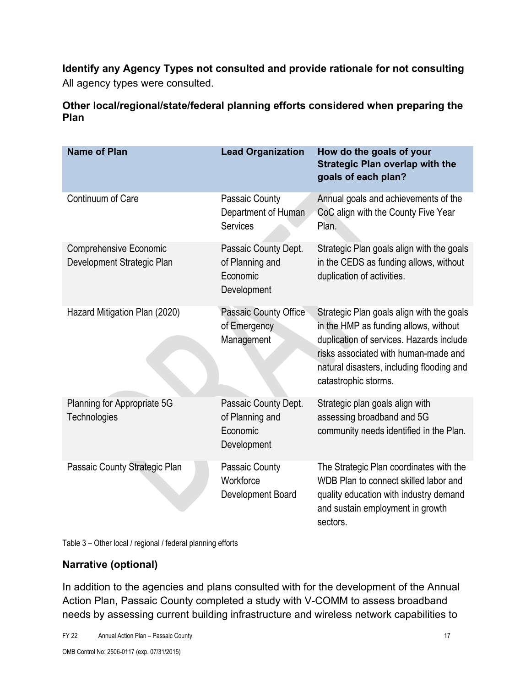**Identify any Agency Types not consulted and provide rationale for not consulting** All agency types were consulted.

**Other local/regional/state/federal planning efforts considered when preparing the Plan**

| <b>Name of Plan</b>                                         | <b>Lead Organization</b>                                           | How do the goals of your<br><b>Strategic Plan overlap with the</b><br>goals of each plan?                                                                                                                                                   |
|-------------------------------------------------------------|--------------------------------------------------------------------|---------------------------------------------------------------------------------------------------------------------------------------------------------------------------------------------------------------------------------------------|
| Continuum of Care                                           | Passaic County<br>Department of Human<br><b>Services</b>           | Annual goals and achievements of the<br>CoC align with the County Five Year<br>Plan.                                                                                                                                                        |
| <b>Comprehensive Economic</b><br>Development Strategic Plan | Passaic County Dept.<br>of Planning and<br>Economic<br>Development | Strategic Plan goals align with the goals<br>in the CEDS as funding allows, without<br>duplication of activities.                                                                                                                           |
| Hazard Mitigation Plan (2020)                               | Passaic County Office<br>of Emergency<br>Management                | Strategic Plan goals align with the goals<br>in the HMP as funding allows, without<br>duplication of services. Hazards include<br>risks associated with human-made and<br>natural disasters, including flooding and<br>catastrophic storms. |
| Planning for Appropriate 5G<br>Technologies                 | Passaic County Dept.<br>of Planning and<br>Economic<br>Development | Strategic plan goals align with<br>assessing broadband and 5G<br>community needs identified in the Plan.                                                                                                                                    |
| Passaic County Strategic Plan                               | Passaic County<br>Workforce<br>Development Board                   | The Strategic Plan coordinates with the<br>WDB Plan to connect skilled labor and<br>quality education with industry demand<br>and sustain employment in growth<br>sectors.                                                                  |

Table 3 – Other local / regional / federal planning efforts

### **Narrative (optional)**

In addition to the agencies and plans consulted with for the development of the Annual Action Plan, Passaic County completed a study with V-COMM to assess broadband needs by assessing current building infrastructure and wireless network capabilities to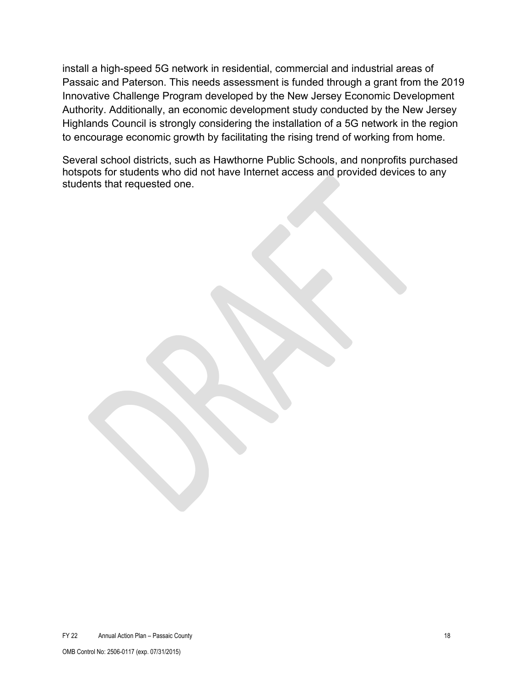install a high-speed 5G network in residential, commercial and industrial areas of Passaic and Paterson. This needs assessment is funded through a grant from the 2019 Innovative Challenge Program developed by the New Jersey Economic Development Authority. Additionally, an economic development study conducted by the New Jersey Highlands Council is strongly considering the installation of a 5G network in the region to encourage economic growth by facilitating the rising trend of working from home.

Several school districts, such as Hawthorne Public Schools, and nonprofits purchased hotspots for students who did not have Internet access and provided devices to any students that requested one.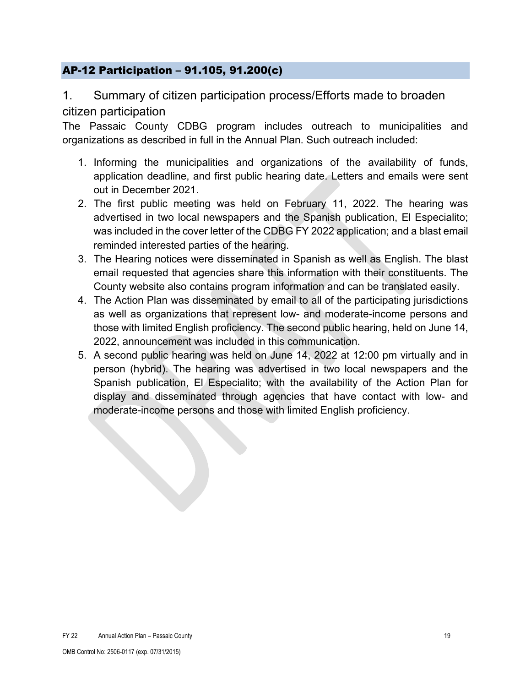### <span id="page-18-0"></span>AP-12 Participation – 91.105, 91.200(c)

### 1. Summary of citizen participation process/Efforts made to broaden citizen participation

The Passaic County CDBG program includes outreach to municipalities and organizations as described in full in the Annual Plan. Such outreach included:

- 1. Informing the municipalities and organizations of the availability of funds, application deadline, and first public hearing date. Letters and emails were sent out in December 2021.
- 2. The first public meeting was held on February 11, 2022. The hearing was advertised in two local newspapers and the Spanish publication, El Especialito; was included in the cover letter of the CDBG FY 2022 application; and a blast email reminded interested parties of the hearing.
- 3. The Hearing notices were disseminated in Spanish as well as English. The blast email requested that agencies share this information with their constituents. The County website also contains program information and can be translated easily.
- 4. The Action Plan was disseminated by email to all of the participating jurisdictions as well as organizations that represent low- and moderate-income persons and those with limited English proficiency. The second public hearing, held on June 14, 2022, announcement was included in this communication.
- 5. A second public hearing was held on June 14, 2022 at 12:00 pm virtually and in person (hybrid). The hearing was advertised in two local newspapers and the Spanish publication, El Especialito; with the availability of the Action Plan for display and disseminated through agencies that have contact with low- and moderate-income persons and those with limited English proficiency.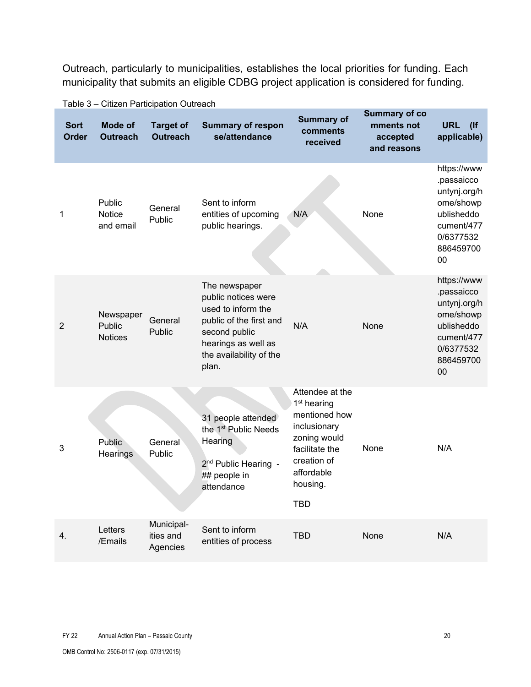Outreach, particularly to municipalities, establishes the local priorities for funding. Each municipality that submits an eligible CDBG project application is considered for funding.

| <b>Sort</b><br>Order | <b>Mode of</b><br><b>Outreach</b>     | <b>Target of</b><br><b>Outreach</b> | <b>Summary of respon</b><br>se/attendance                                                                                                                         | <b>Summary of</b><br>comments<br>received                                                                                                                            | <b>Summary of co</b><br>mments not<br>accepted<br>and reasons | <b>URL</b><br>(<br>applicable)                                                                                         |
|----------------------|---------------------------------------|-------------------------------------|-------------------------------------------------------------------------------------------------------------------------------------------------------------------|----------------------------------------------------------------------------------------------------------------------------------------------------------------------|---------------------------------------------------------------|------------------------------------------------------------------------------------------------------------------------|
| 1                    | Public<br><b>Notice</b><br>and email  | General<br>Public                   | Sent to inform<br>entities of upcoming<br>public hearings.                                                                                                        | N/A                                                                                                                                                                  | None                                                          | https://www<br>.passaicco<br>untynj.org/h<br>ome/showp<br>ublisheddo<br>cument/477<br>0/6377532<br>886459700<br>00     |
| $\overline{2}$       | Newspaper<br>Public<br><b>Notices</b> | General<br>Public                   | The newspaper<br>public notices were<br>used to inform the<br>public of the first and<br>second public<br>hearings as well as<br>the availability of the<br>plan. | N/A                                                                                                                                                                  | None                                                          | https://www<br>.passaicco<br>untynj.org/h<br>ome/showp<br>ublisheddo<br>cument/477<br>0/6377532<br>886459700<br>$00\,$ |
| 3                    | Public<br>Hearings                    | General<br>Public                   | 31 people attended<br>the 1 <sup>st</sup> Public Needs<br>Hearing<br>2 <sup>nd</sup> Public Hearing -<br>## people in<br>attendance                               | Attendee at the<br>1 <sup>st</sup> hearing<br>mentioned how<br>inclusionary<br>zoning would<br>facilitate the<br>creation of<br>affordable<br>housing.<br><b>TBD</b> | None                                                          | N/A                                                                                                                    |
| 4.                   | Letters<br>/Emails                    | Municipal-<br>ities and<br>Agencies | Sent to inform<br>entities of process                                                                                                                             | <b>TBD</b>                                                                                                                                                           | None                                                          | N/A                                                                                                                    |

Table 3 – Citizen Participation Outreach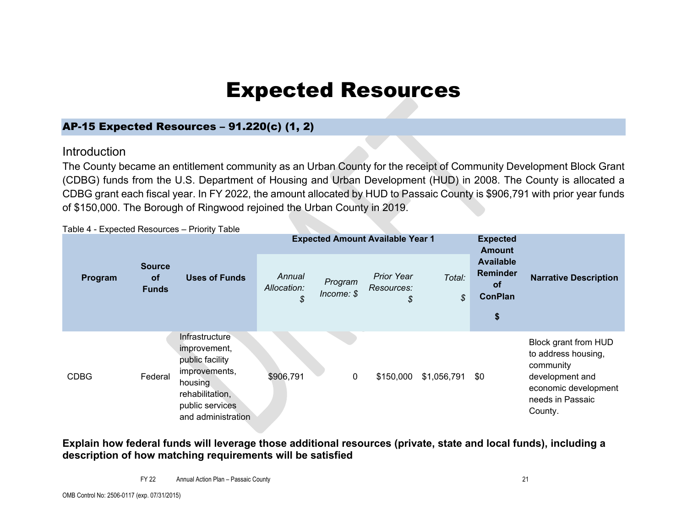# Expected Resources

### AP-15 Expected Resources – 91.220(c) (1, 2)

### **Introduction**

The County became an entitlement community as an Urban County for the receipt of Community Development Block Grant (CDBG) funds from the U.S. Department of Housing and Urban Development (HUD) in 2008. The County is allocated a CDBG grant each fiscal year. In FY 2022, the amount allocated by HUD to Passaic County is \$906,791 with prior year funds of \$150,000. The Borough of Ringwood rejoined the Urban County in 2019.

<span id="page-20-1"></span><span id="page-20-0"></span>Table 4 - Expected Resources – Priority Table **Program Source of Funds Uses of Funds Expected Amount Available Year 1 Expected Amount Available Reminder of ConPlan \$**  *Annual* **Narrative Description** *Allocation: \$ Program Income: \$ Prior Year Resources: \$ Total: \$*  CDBG Federal **Infrastructure** improvement, public facility improvements, housing rehabilitation, public services and administration \$906,791 0 \$150,000 \$1,056,791 \$0 Block grant from HUD to address housing, community development and economic development needs in Passaic County.

**Explain how federal funds will leverage those additional resources (private, state and local funds), including a description of how matching requirements will be satisfied**

FY 22 Annual Action Plan – Passaic County 21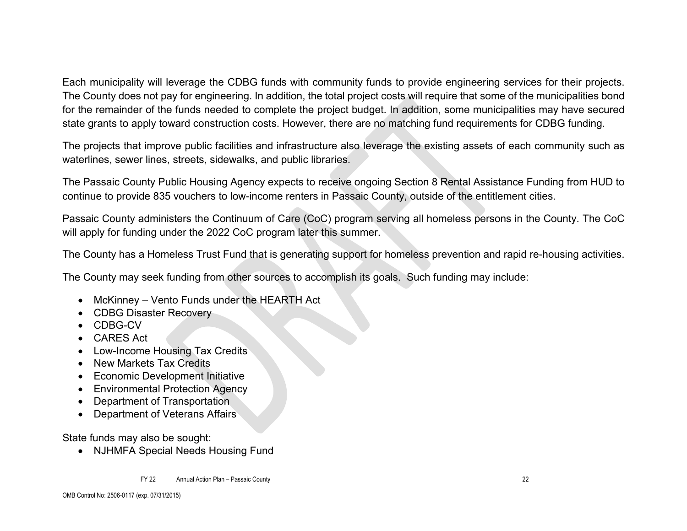Each municipality will leverage the CDBG funds with community funds to provide engineering services for their projects. The County does not pay for engineering. In addition, the total project costs will require that some of the municipalities bond for the remainder of the funds needed to complete the project budget. In addition, some municipalities may have secured state grants to apply toward construction costs. However, there are no matching fund requirements for CDBG funding.

The projects that improve public facilities and infrastructure also leverage the existing assets of each community such as waterlines, sewer lines, streets, sidewalks, and public libraries.

The Passaic County Public Housing Agency expects to receive ongoing Section 8 Rental Assistance Funding from HUD to continue to provide 835 vouchers to low-income renters in Passaic County, outside of the entitlement cities.

Passaic County administers the Continuum of Care (CoC) program serving all homeless persons in the County. The CoC will apply for funding under the 2022 CoC program later this summer.

The County has a Homeless Trust Fund that is generating support for homeless prevention and rapid re-housing activities.

The County may seek funding from other sources to accomplish its goals. Such funding may include:

- McKinney Vento Funds under the HEARTH Act
- CDBG Disaster Recovery
- CDBG-CV
- CARES Act
- Low-Income Housing Tax Credits
- New Markets Tax Credits
- Economic Development Initiative
- Environmental Protection Agency
- Department of Transportation
- Department of Veterans Affairs

State funds may also be sought:

• NJHMFA Special Needs Housing Fund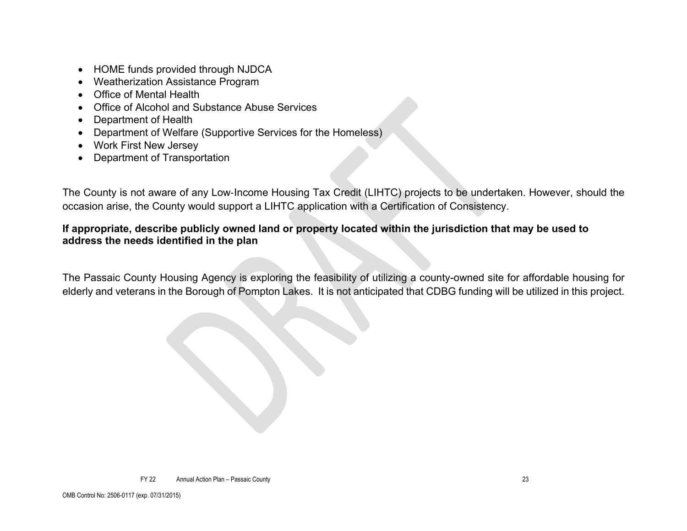- HOME funds provided through NJDCA
- Weatherization Assistance Program
- Office of Mental Health
- Office of Alcohol and Substance Abuse Services
- Department of Health
- Department of Welfare (Supportive Services for the Homeless)
- Work First New Jersey
- Department of Transportation

The County is not aware of any Low‐Income Housing Tax Credit (LIHTC) projects to be undertaken. However, should the occasion arise, the County would support a LIHTC application with a Certification of Consistency.

### **If appropriate, describe publicly owned land or property located within the jurisdiction that may be used to address the needs identified in the plan**

The Passaic County Housing Agency is exploring the feasibility of utilizing a county-owned site for affordable housing for elderly and veterans in the Borough of Pompton Lakes. It is not anticipated that CDBG funding will be utilized in this project.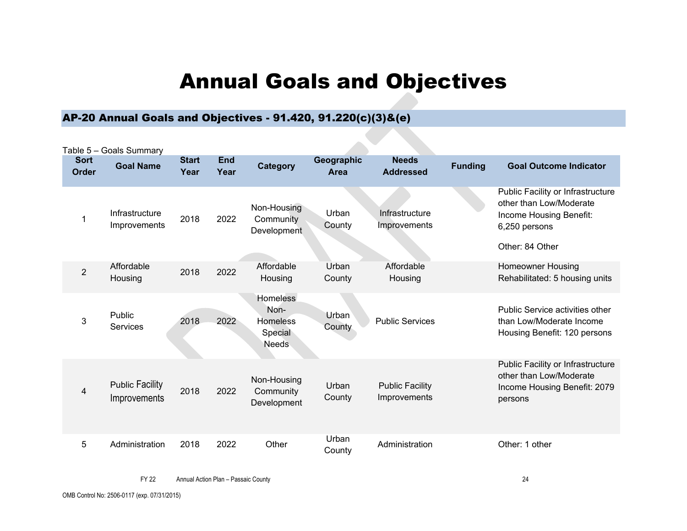# Annual Goals and Objectives

# AP-20 Annual Goals and Objectives - 91.420, 91.220(c)(3)&(e)

<span id="page-23-1"></span><span id="page-23-0"></span>

|                             | Table 5 - Goals Summary                |                      |                    |                                                                       |                        |                                        |                |                                                                                                                             |
|-----------------------------|----------------------------------------|----------------------|--------------------|-----------------------------------------------------------------------|------------------------|----------------------------------------|----------------|-----------------------------------------------------------------------------------------------------------------------------|
| <b>Sort</b><br><b>Order</b> | <b>Goal Name</b>                       | <b>Start</b><br>Year | <b>End</b><br>Year | <b>Category</b>                                                       | Geographic<br>Area     | <b>Needs</b><br><b>Addressed</b>       | <b>Funding</b> | <b>Goal Outcome Indicator</b>                                                                                               |
| 1                           | Infrastructure<br>Improvements         | 2018                 | 2022               | Non-Housing<br>Community<br>Development                               | Urban<br>County        | Infrastructure<br>Improvements         |                | Public Facility or Infrastructure<br>other than Low/Moderate<br>Income Housing Benefit:<br>6,250 persons<br>Other: 84 Other |
| $\overline{2}$              | Affordable<br>Housing                  | 2018                 | 2022               | Affordable<br>Housing                                                 | Urban<br>County        | Affordable<br>Housing                  |                | <b>Homeowner Housing</b><br>Rehabilitated: 5 housing units                                                                  |
| 3                           | Public<br><b>Services</b>              | 2018                 | 2022               | <b>Homeless</b><br>Non-<br><b>Homeless</b><br>Special<br><b>Needs</b> | <b>Urban</b><br>County | <b>Public Services</b>                 |                | Public Service activities other<br>than Low/Moderate Income<br>Housing Benefit: 120 persons                                 |
| 4                           | <b>Public Facility</b><br>Improvements | 2018                 | 2022               | Non-Housing<br>Community<br>Development                               | Urban<br>County        | <b>Public Facility</b><br>Improvements |                | Public Facility or Infrastructure<br>other than Low/Moderate<br>Income Housing Benefit: 2079<br>persons                     |
| 5                           | Administration                         | 2018                 | 2022               | Other                                                                 | Urban<br>County        | Administration                         |                | Other: 1 other                                                                                                              |

FY 22 Annual Action Plan – Passaic County 24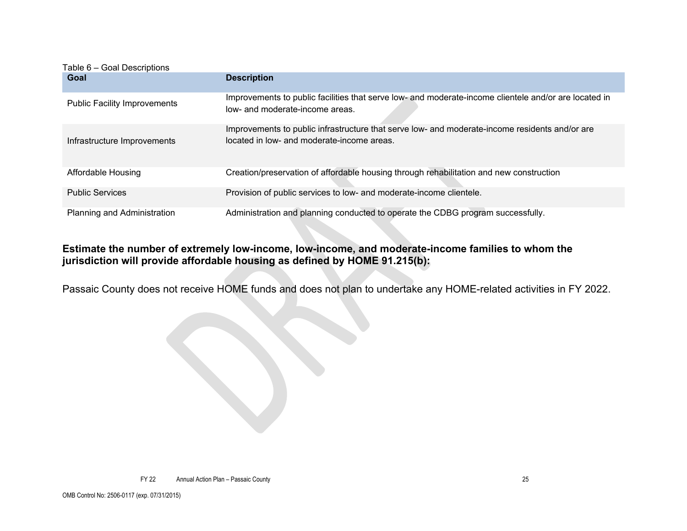| Table 6 – Goal Descriptions         |                                                                                                                                              |
|-------------------------------------|----------------------------------------------------------------------------------------------------------------------------------------------|
| Goal                                | <b>Description</b>                                                                                                                           |
| <b>Public Facility Improvements</b> | Improvements to public facilities that serve low- and moderate-income clientele and/or are located in<br>low- and moderate-income areas.     |
| Infrastructure Improvements         | Improvements to public infrastructure that serve low- and moderate-income residents and/or are<br>located in low- and moderate-income areas. |
| Affordable Housing                  | Creation/preservation of affordable housing through rehabilitation and new construction                                                      |
| <b>Public Services</b>              | Provision of public services to low- and moderate-income clientele.                                                                          |
| Planning and Administration         | Administration and planning conducted to operate the CDBG program successfully.                                                              |

### **Estimate the number of extremely low-income, low-income, and moderate-income families to whom the jurisdiction will provide affordable housing as defined by HOME 91.215(b):**

Passaic County does not receive HOME funds and does not plan to undertake any HOME-related activities in FY 2022.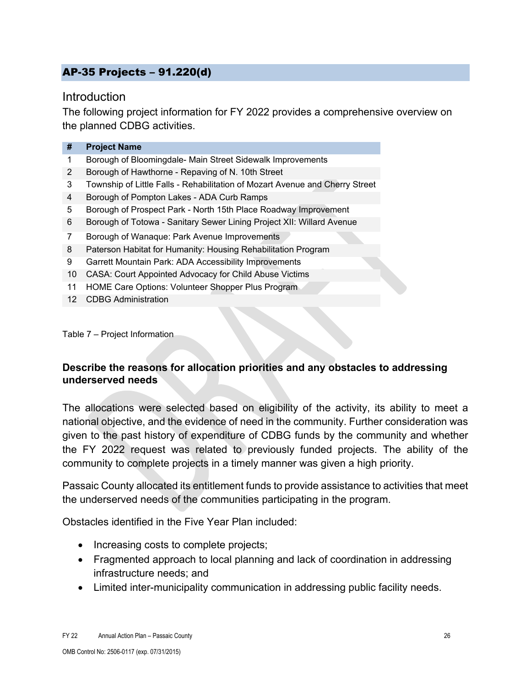### <span id="page-25-0"></span>AP-35 Projects – 91.220(d)

### **Introduction**

The following project information for FY 2022 provides a comprehensive overview on the planned CDBG activities.

| <b>Project Name</b>                                                          |
|------------------------------------------------------------------------------|
| Borough of Bloomingdale- Main Street Sidewalk Improvements                   |
| Borough of Hawthorne - Repaving of N. 10th Street                            |
| Township of Little Falls - Rehabilitation of Mozart Avenue and Cherry Street |
| Borough of Pompton Lakes - ADA Curb Ramps                                    |
| Borough of Prospect Park - North 15th Place Roadway Improvement              |
| Borough of Totowa - Sanitary Sewer Lining Project XII: Willard Avenue        |
| Borough of Wanaque: Park Avenue Improvements                                 |
| Paterson Habitat for Humanity: Housing Rehabilitation Program                |
| Garrett Mountain Park: ADA Accessibility Improvements                        |
| <b>CASA: Court Appointed Advocacy for Child Abuse Victims</b>                |
| HOME Care Options: Volunteer Shopper Plus Program                            |
|                                                                              |

12 CDBG Administration

Table 7 – Project Information

### **Describe the reasons for allocation priorities and any obstacles to addressing underserved needs**

The allocations were selected based on eligibility of the activity, its ability to meet a national objective, and the evidence of need in the community. Further consideration was given to the past history of expenditure of CDBG funds by the community and whether the FY 2022 request was related to previously funded projects. The ability of the community to complete projects in a timely manner was given a high priority.

Passaic County allocated its entitlement funds to provide assistance to activities that meet the underserved needs of the communities participating in the program.

Obstacles identified in the Five Year Plan included:

- Increasing costs to complete projects;
- Fragmented approach to local planning and lack of coordination in addressing infrastructure needs; and
- Limited inter-municipality communication in addressing public facility needs.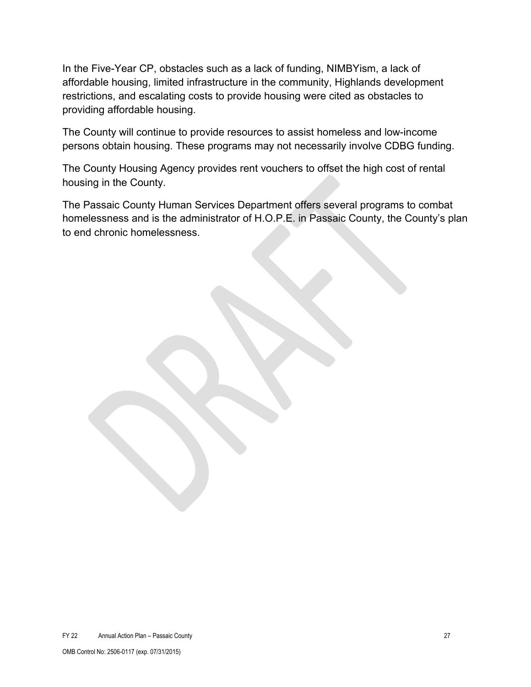In the Five-Year CP, obstacles such as a lack of funding, NIMBYism, a lack of affordable housing, limited infrastructure in the community, Highlands development restrictions, and escalating costs to provide housing were cited as obstacles to providing affordable housing.

The County will continue to provide resources to assist homeless and low-income persons obtain housing. These programs may not necessarily involve CDBG funding.

The County Housing Agency provides rent vouchers to offset the high cost of rental housing in the County.

The Passaic County Human Services Department offers several programs to combat homelessness and is the administrator of H.O.P.E. in Passaic County, the County's plan to end chronic homelessness.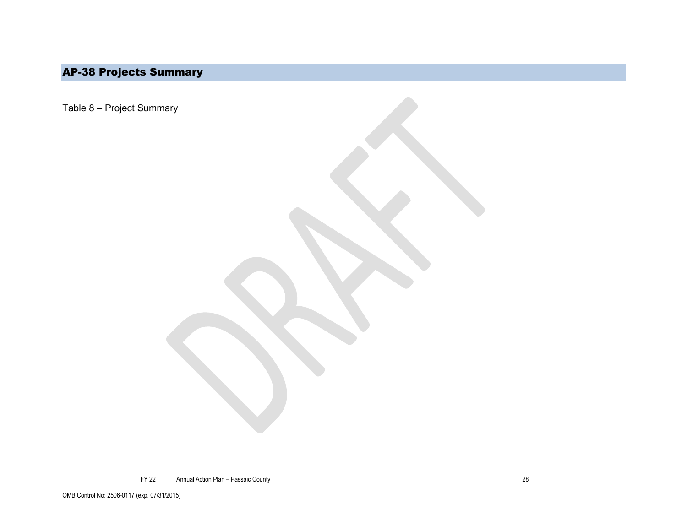# AP-38 Projects Summary

<span id="page-27-0"></span>Table 8 – Project Summary

FY 22 Annual Action Plan – Passaic County 28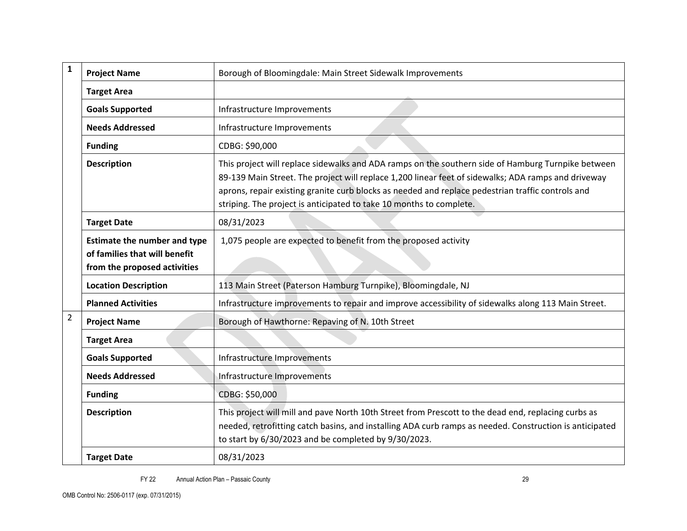| $\mathbf{1}$                                                                                                                                                                                                                                                                                                                                                                                                | <b>Project Name</b>                                   | Borough of Bloomingdale: Main Street Sidewalk Improvements                                                                                                                                                                                                             |  |
|-------------------------------------------------------------------------------------------------------------------------------------------------------------------------------------------------------------------------------------------------------------------------------------------------------------------------------------------------------------------------------------------------------------|-------------------------------------------------------|------------------------------------------------------------------------------------------------------------------------------------------------------------------------------------------------------------------------------------------------------------------------|--|
|                                                                                                                                                                                                                                                                                                                                                                                                             | <b>Target Area</b>                                    |                                                                                                                                                                                                                                                                        |  |
|                                                                                                                                                                                                                                                                                                                                                                                                             | <b>Goals Supported</b>                                | Infrastructure Improvements                                                                                                                                                                                                                                            |  |
|                                                                                                                                                                                                                                                                                                                                                                                                             | <b>Needs Addressed</b>                                | Infrastructure Improvements                                                                                                                                                                                                                                            |  |
|                                                                                                                                                                                                                                                                                                                                                                                                             | <b>Funding</b>                                        | CDBG: \$90,000                                                                                                                                                                                                                                                         |  |
| This project will replace sidewalks and ADA ramps on the southern side of Hamburg Turnpike between<br><b>Description</b><br>89-139 Main Street. The project will replace 1,200 linear feet of sidewalks; ADA ramps and driveway<br>aprons, repair existing granite curb blocks as needed and replace pedestrian traffic controls and<br>striping. The project is anticipated to take 10 months to complete. |                                                       |                                                                                                                                                                                                                                                                        |  |
| <b>Target Date</b><br>08/31/2023                                                                                                                                                                                                                                                                                                                                                                            |                                                       |                                                                                                                                                                                                                                                                        |  |
| 1,075 people are expected to benefit from the proposed activity<br><b>Estimate the number and type</b><br>of families that will benefit<br>from the proposed activities                                                                                                                                                                                                                                     |                                                       |                                                                                                                                                                                                                                                                        |  |
|                                                                                                                                                                                                                                                                                                                                                                                                             | <b>Location Description</b>                           | 113 Main Street (Paterson Hamburg Turnpike), Bloomingdale, NJ                                                                                                                                                                                                          |  |
|                                                                                                                                                                                                                                                                                                                                                                                                             | <b>Planned Activities</b>                             | Infrastructure improvements to repair and improve accessibility of sidewalks along 113 Main Street.                                                                                                                                                                    |  |
| $\overline{2}$                                                                                                                                                                                                                                                                                                                                                                                              | <b>Project Name</b>                                   | Borough of Hawthorne: Repaving of N. 10th Street                                                                                                                                                                                                                       |  |
|                                                                                                                                                                                                                                                                                                                                                                                                             | <b>Target Area</b>                                    |                                                                                                                                                                                                                                                                        |  |
|                                                                                                                                                                                                                                                                                                                                                                                                             | <b>Goals Supported</b><br>Infrastructure Improvements |                                                                                                                                                                                                                                                                        |  |
| <b>Needs Addressed</b><br>Infrastructure Improvements                                                                                                                                                                                                                                                                                                                                                       |                                                       |                                                                                                                                                                                                                                                                        |  |
| CDBG: \$50,000<br><b>Funding</b>                                                                                                                                                                                                                                                                                                                                                                            |                                                       |                                                                                                                                                                                                                                                                        |  |
|                                                                                                                                                                                                                                                                                                                                                                                                             | <b>Description</b>                                    | This project will mill and pave North 10th Street from Prescott to the dead end, replacing curbs as<br>needed, retrofitting catch basins, and installing ADA curb ramps as needed. Construction is anticipated<br>to start by 6/30/2023 and be completed by 9/30/2023. |  |
| 08/31/2023<br><b>Target Date</b>                                                                                                                                                                                                                                                                                                                                                                            |                                                       |                                                                                                                                                                                                                                                                        |  |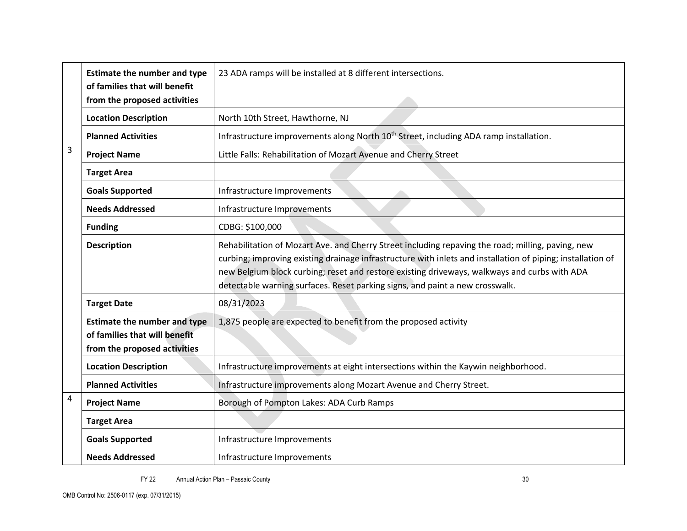|                                                                                                                                                                         | <b>Estimate the number and type</b><br>of families that will benefit | 23 ADA ramps will be installed at 8 different intersections.                                                                                                                                                                                                                                                                                                                                     |  |
|-------------------------------------------------------------------------------------------------------------------------------------------------------------------------|----------------------------------------------------------------------|--------------------------------------------------------------------------------------------------------------------------------------------------------------------------------------------------------------------------------------------------------------------------------------------------------------------------------------------------------------------------------------------------|--|
|                                                                                                                                                                         | from the proposed activities                                         |                                                                                                                                                                                                                                                                                                                                                                                                  |  |
|                                                                                                                                                                         | <b>Location Description</b>                                          | North 10th Street, Hawthorne, NJ                                                                                                                                                                                                                                                                                                                                                                 |  |
|                                                                                                                                                                         | <b>Planned Activities</b>                                            | Infrastructure improvements along North 10 <sup>th</sup> Street, including ADA ramp installation.                                                                                                                                                                                                                                                                                                |  |
| 3                                                                                                                                                                       | <b>Project Name</b>                                                  | Little Falls: Rehabilitation of Mozart Avenue and Cherry Street                                                                                                                                                                                                                                                                                                                                  |  |
|                                                                                                                                                                         | <b>Target Area</b>                                                   |                                                                                                                                                                                                                                                                                                                                                                                                  |  |
|                                                                                                                                                                         | <b>Goals Supported</b>                                               | Infrastructure Improvements                                                                                                                                                                                                                                                                                                                                                                      |  |
|                                                                                                                                                                         | <b>Needs Addressed</b>                                               | Infrastructure Improvements                                                                                                                                                                                                                                                                                                                                                                      |  |
|                                                                                                                                                                         | <b>Funding</b>                                                       | CDBG: \$100,000                                                                                                                                                                                                                                                                                                                                                                                  |  |
| <b>Description</b>                                                                                                                                                      |                                                                      | Rehabilitation of Mozart Ave. and Cherry Street including repaving the road; milling, paving, new<br>curbing; improving existing drainage infrastructure with inlets and installation of piping; installation of<br>new Belgium block curbing; reset and restore existing driveways, walkways and curbs with ADA<br>detectable warning surfaces. Reset parking signs, and paint a new crosswalk. |  |
|                                                                                                                                                                         | <b>Target Date</b>                                                   | 08/31/2023                                                                                                                                                                                                                                                                                                                                                                                       |  |
| <b>Estimate the number and type</b><br>1,875 people are expected to benefit from the proposed activity<br>of families that will benefit<br>from the proposed activities |                                                                      |                                                                                                                                                                                                                                                                                                                                                                                                  |  |
|                                                                                                                                                                         | <b>Location Description</b>                                          | Infrastructure improvements at eight intersections within the Kaywin neighborhood.                                                                                                                                                                                                                                                                                                               |  |
|                                                                                                                                                                         | <b>Planned Activities</b>                                            | Infrastructure improvements along Mozart Avenue and Cherry Street.                                                                                                                                                                                                                                                                                                                               |  |
| 4                                                                                                                                                                       | <b>Project Name</b>                                                  | Borough of Pompton Lakes: ADA Curb Ramps                                                                                                                                                                                                                                                                                                                                                         |  |
|                                                                                                                                                                         | <b>Target Area</b>                                                   |                                                                                                                                                                                                                                                                                                                                                                                                  |  |
|                                                                                                                                                                         | <b>Goals Supported</b>                                               | Infrastructure Improvements                                                                                                                                                                                                                                                                                                                                                                      |  |
| <b>Needs Addressed</b><br>Infrastructure Improvements                                                                                                                   |                                                                      |                                                                                                                                                                                                                                                                                                                                                                                                  |  |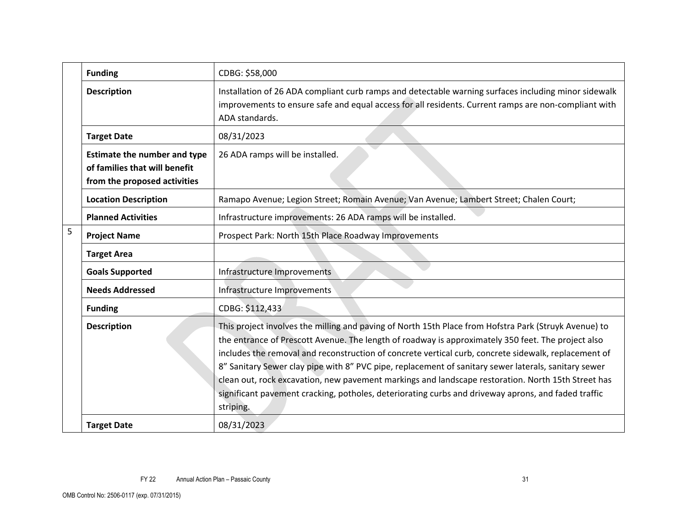|                                                                                                                                                     | <b>Funding</b>              | CDBG: \$58,000                                                                                                                                                                                                                                                                                                                                                                                                                                                                                                                                                                                                                                        |
|-----------------------------------------------------------------------------------------------------------------------------------------------------|-----------------------------|-------------------------------------------------------------------------------------------------------------------------------------------------------------------------------------------------------------------------------------------------------------------------------------------------------------------------------------------------------------------------------------------------------------------------------------------------------------------------------------------------------------------------------------------------------------------------------------------------------------------------------------------------------|
|                                                                                                                                                     | <b>Description</b>          | Installation of 26 ADA compliant curb ramps and detectable warning surfaces including minor sidewalk<br>improvements to ensure safe and equal access for all residents. Current ramps are non-compliant with<br>ADA standards.                                                                                                                                                                                                                                                                                                                                                                                                                        |
|                                                                                                                                                     | <b>Target Date</b>          | 08/31/2023                                                                                                                                                                                                                                                                                                                                                                                                                                                                                                                                                                                                                                            |
| 26 ADA ramps will be installed.<br><b>Estimate the number and type</b><br>of families that will benefit<br>from the proposed activities             |                             |                                                                                                                                                                                                                                                                                                                                                                                                                                                                                                                                                                                                                                                       |
|                                                                                                                                                     | <b>Location Description</b> | Ramapo Avenue; Legion Street; Romain Avenue; Van Avenue; Lambert Street; Chalen Court;                                                                                                                                                                                                                                                                                                                                                                                                                                                                                                                                                                |
|                                                                                                                                                     | <b>Planned Activities</b>   | Infrastructure improvements: 26 ADA ramps will be installed.                                                                                                                                                                                                                                                                                                                                                                                                                                                                                                                                                                                          |
| 5                                                                                                                                                   | <b>Project Name</b>         | Prospect Park: North 15th Place Roadway Improvements                                                                                                                                                                                                                                                                                                                                                                                                                                                                                                                                                                                                  |
|                                                                                                                                                     | <b>Target Area</b>          |                                                                                                                                                                                                                                                                                                                                                                                                                                                                                                                                                                                                                                                       |
| <b>Goals Supported</b><br>Infrastructure Improvements<br><b>Needs Addressed</b><br>Infrastructure Improvements<br>CDBG: \$112,433<br><b>Funding</b> |                             |                                                                                                                                                                                                                                                                                                                                                                                                                                                                                                                                                                                                                                                       |
|                                                                                                                                                     |                             |                                                                                                                                                                                                                                                                                                                                                                                                                                                                                                                                                                                                                                                       |
|                                                                                                                                                     |                             |                                                                                                                                                                                                                                                                                                                                                                                                                                                                                                                                                                                                                                                       |
|                                                                                                                                                     | <b>Description</b>          | This project involves the milling and paving of North 15th Place from Hofstra Park (Struyk Avenue) to<br>the entrance of Prescott Avenue. The length of roadway is approximately 350 feet. The project also<br>includes the removal and reconstruction of concrete vertical curb, concrete sidewalk, replacement of<br>8" Sanitary Sewer clay pipe with 8" PVC pipe, replacement of sanitary sewer laterals, sanitary sewer<br>clean out, rock excavation, new pavement markings and landscape restoration. North 15th Street has<br>significant pavement cracking, potholes, deteriorating curbs and driveway aprons, and faded traffic<br>striping. |
|                                                                                                                                                     | <b>Target Date</b>          | 08/31/2023                                                                                                                                                                                                                                                                                                                                                                                                                                                                                                                                                                                                                                            |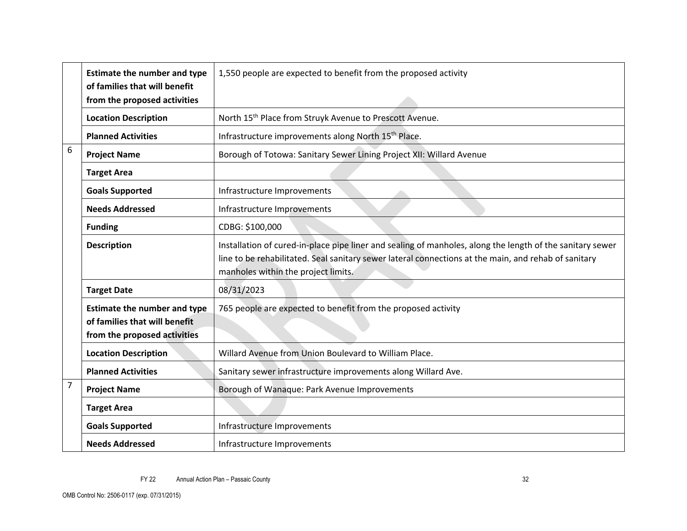|                                                                                                                                                                       | <b>Estimate the number and type</b>                                                         | 1,550 people are expected to benefit from the proposed activity                                                                                                                                                   |  |
|-----------------------------------------------------------------------------------------------------------------------------------------------------------------------|---------------------------------------------------------------------------------------------|-------------------------------------------------------------------------------------------------------------------------------------------------------------------------------------------------------------------|--|
|                                                                                                                                                                       | of families that will benefit<br>from the proposed activities                               |                                                                                                                                                                                                                   |  |
|                                                                                                                                                                       | <b>Location Description</b>                                                                 | North 15 <sup>th</sup> Place from Struyk Avenue to Prescott Avenue.                                                                                                                                               |  |
|                                                                                                                                                                       | <b>Planned Activities</b>                                                                   | Infrastructure improvements along North 15 <sup>th</sup> Place.                                                                                                                                                   |  |
| 6                                                                                                                                                                     | Borough of Totowa: Sanitary Sewer Lining Project XII: Willard Avenue<br><b>Project Name</b> |                                                                                                                                                                                                                   |  |
|                                                                                                                                                                       | <b>Target Area</b>                                                                          |                                                                                                                                                                                                                   |  |
|                                                                                                                                                                       | <b>Goals Supported</b>                                                                      | Infrastructure Improvements                                                                                                                                                                                       |  |
|                                                                                                                                                                       | <b>Needs Addressed</b>                                                                      | Infrastructure Improvements                                                                                                                                                                                       |  |
|                                                                                                                                                                       | <b>Funding</b>                                                                              | CDBG: \$100,000                                                                                                                                                                                                   |  |
| <b>Description</b><br>manholes within the project limits.                                                                                                             |                                                                                             | Installation of cured-in-place pipe liner and sealing of manholes, along the length of the sanitary sewer<br>line to be rehabilitated. Seal sanitary sewer lateral connections at the main, and rehab of sanitary |  |
|                                                                                                                                                                       | 08/31/2023<br><b>Target Date</b>                                                            |                                                                                                                                                                                                                   |  |
| <b>Estimate the number and type</b><br>765 people are expected to benefit from the proposed activity<br>of families that will benefit<br>from the proposed activities |                                                                                             |                                                                                                                                                                                                                   |  |
|                                                                                                                                                                       | <b>Location Description</b>                                                                 | Willard Avenue from Union Boulevard to William Place.                                                                                                                                                             |  |
|                                                                                                                                                                       | <b>Planned Activities</b>                                                                   | Sanitary sewer infrastructure improvements along Willard Ave.                                                                                                                                                     |  |
| 7<br>Borough of Wanaque: Park Avenue Improvements<br><b>Project Name</b>                                                                                              |                                                                                             |                                                                                                                                                                                                                   |  |
|                                                                                                                                                                       | <b>Target Area</b>                                                                          |                                                                                                                                                                                                                   |  |
|                                                                                                                                                                       | <b>Goals Supported</b>                                                                      | Infrastructure Improvements                                                                                                                                                                                       |  |
|                                                                                                                                                                       | <b>Needs Addressed</b>                                                                      | Infrastructure Improvements                                                                                                                                                                                       |  |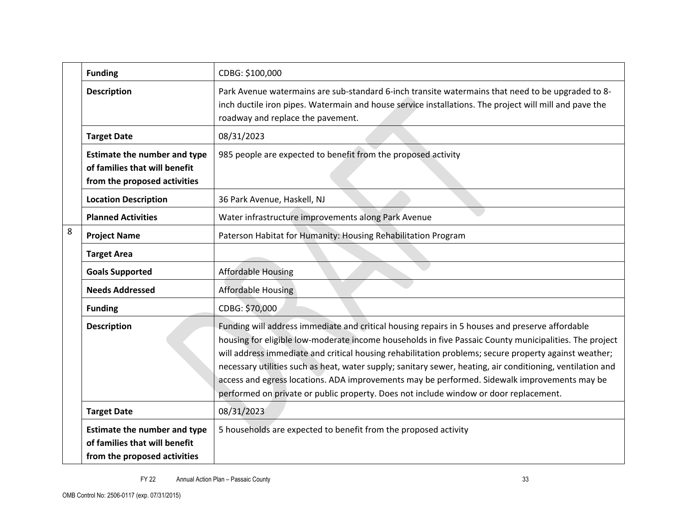|   | <b>Funding</b>                                                                                                                                                        | CDBG: \$100,000                                                                                                                                                                                                                                                                                                                                                                                                                                                                                                                                                                                                           |
|---|-----------------------------------------------------------------------------------------------------------------------------------------------------------------------|---------------------------------------------------------------------------------------------------------------------------------------------------------------------------------------------------------------------------------------------------------------------------------------------------------------------------------------------------------------------------------------------------------------------------------------------------------------------------------------------------------------------------------------------------------------------------------------------------------------------------|
|   | <b>Description</b>                                                                                                                                                    | Park Avenue watermains are sub-standard 6-inch transite watermains that need to be upgraded to 8-<br>inch ductile iron pipes. Watermain and house service installations. The project will mill and pave the<br>roadway and replace the pavement.                                                                                                                                                                                                                                                                                                                                                                          |
|   | <b>Target Date</b>                                                                                                                                                    | 08/31/2023                                                                                                                                                                                                                                                                                                                                                                                                                                                                                                                                                                                                                |
|   | 985 people are expected to benefit from the proposed activity<br><b>Estimate the number and type</b><br>of families that will benefit<br>from the proposed activities |                                                                                                                                                                                                                                                                                                                                                                                                                                                                                                                                                                                                                           |
|   | <b>Location Description</b>                                                                                                                                           | 36 Park Avenue, Haskell, NJ                                                                                                                                                                                                                                                                                                                                                                                                                                                                                                                                                                                               |
|   | <b>Planned Activities</b>                                                                                                                                             | Water infrastructure improvements along Park Avenue                                                                                                                                                                                                                                                                                                                                                                                                                                                                                                                                                                       |
| 8 | <b>Project Name</b>                                                                                                                                                   | Paterson Habitat for Humanity: Housing Rehabilitation Program                                                                                                                                                                                                                                                                                                                                                                                                                                                                                                                                                             |
|   | <b>Target Area</b>                                                                                                                                                    |                                                                                                                                                                                                                                                                                                                                                                                                                                                                                                                                                                                                                           |
|   | <b>Goals Supported</b>                                                                                                                                                | <b>Affordable Housing</b>                                                                                                                                                                                                                                                                                                                                                                                                                                                                                                                                                                                                 |
|   | <b>Needs Addressed</b>                                                                                                                                                | <b>Affordable Housing</b>                                                                                                                                                                                                                                                                                                                                                                                                                                                                                                                                                                                                 |
|   | <b>Funding</b>                                                                                                                                                        | CDBG: \$70,000                                                                                                                                                                                                                                                                                                                                                                                                                                                                                                                                                                                                            |
|   | <b>Description</b>                                                                                                                                                    | Funding will address immediate and critical housing repairs in 5 houses and preserve affordable<br>housing for eligible low-moderate income households in five Passaic County municipalities. The project<br>will address immediate and critical housing rehabilitation problems; secure property against weather;<br>necessary utilities such as heat, water supply; sanitary sewer, heating, air conditioning, ventilation and<br>access and egress locations. ADA improvements may be performed. Sidewalk improvements may be<br>performed on private or public property. Does not include window or door replacement. |
|   | <b>Target Date</b>                                                                                                                                                    | 08/31/2023                                                                                                                                                                                                                                                                                                                                                                                                                                                                                                                                                                                                                |
|   | <b>Estimate the number and type</b><br>of families that will benefit<br>from the proposed activities                                                                  | 5 households are expected to benefit from the proposed activity                                                                                                                                                                                                                                                                                                                                                                                                                                                                                                                                                           |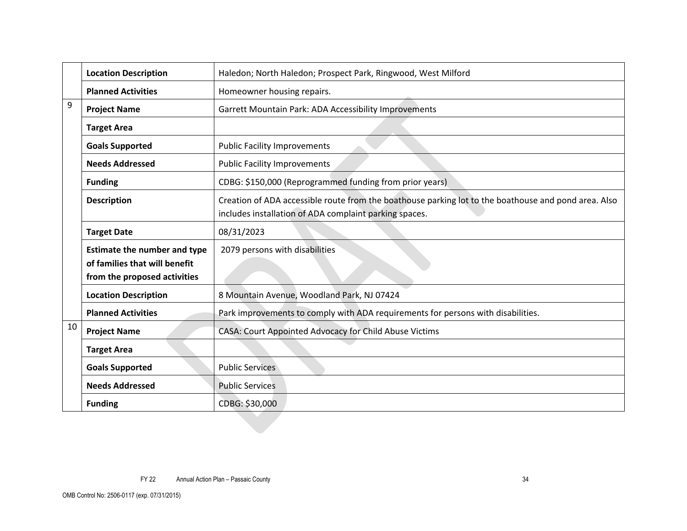|                                                                                                                                        | <b>Location Description</b>      | Haledon; North Haledon; Prospect Park, Ringwood, West Milford                                                                                                  |  |
|----------------------------------------------------------------------------------------------------------------------------------------|----------------------------------|----------------------------------------------------------------------------------------------------------------------------------------------------------------|--|
|                                                                                                                                        | <b>Planned Activities</b>        | Homeowner housing repairs.                                                                                                                                     |  |
| 9<br><b>Project Name</b>                                                                                                               |                                  | Garrett Mountain Park: ADA Accessibility Improvements                                                                                                          |  |
|                                                                                                                                        | <b>Target Area</b>               |                                                                                                                                                                |  |
|                                                                                                                                        | <b>Goals Supported</b>           | <b>Public Facility Improvements</b>                                                                                                                            |  |
|                                                                                                                                        | <b>Needs Addressed</b>           | <b>Public Facility Improvements</b>                                                                                                                            |  |
|                                                                                                                                        | <b>Funding</b>                   | CDBG: \$150,000 (Reprogrammed funding from prior years)                                                                                                        |  |
|                                                                                                                                        | <b>Description</b>               | Creation of ADA accessible route from the boathouse parking lot to the boathouse and pond area. Also<br>includes installation of ADA complaint parking spaces. |  |
|                                                                                                                                        | <b>Target Date</b><br>08/31/2023 |                                                                                                                                                                |  |
| 2079 persons with disabilities<br><b>Estimate the number and type</b><br>of families that will benefit<br>from the proposed activities |                                  |                                                                                                                                                                |  |
|                                                                                                                                        | <b>Location Description</b>      | 8 Mountain Avenue, Woodland Park, NJ 07424                                                                                                                     |  |
|                                                                                                                                        | <b>Planned Activities</b>        | Park improvements to comply with ADA requirements for persons with disabilities.                                                                               |  |
| 10                                                                                                                                     | <b>Project Name</b>              | CASA: Court Appointed Advocacy for Child Abuse Victims                                                                                                         |  |
|                                                                                                                                        | <b>Target Area</b>               |                                                                                                                                                                |  |
|                                                                                                                                        | <b>Goals Supported</b>           | <b>Public Services</b>                                                                                                                                         |  |
|                                                                                                                                        | <b>Needs Addressed</b>           | <b>Public Services</b>                                                                                                                                         |  |
|                                                                                                                                        | <b>Funding</b>                   | CDBG: \$30,000                                                                                                                                                 |  |
|                                                                                                                                        |                                  |                                                                                                                                                                |  |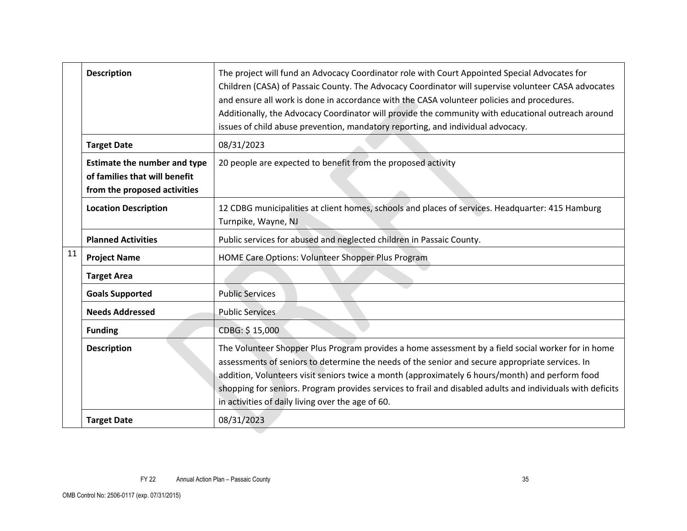| <b>Description</b>                                                                   |                                                                                                      | The project will fund an Advocacy Coordinator role with Court Appointed Special Advocates for<br>Children (CASA) of Passaic County. The Advocacy Coordinator will supervise volunteer CASA advocates<br>and ensure all work is done in accordance with the CASA volunteer policies and procedures.<br>Additionally, the Advocacy Coordinator will provide the community with educational outreach around<br>issues of child abuse prevention, mandatory reporting, and individual advocacy. |  |  |
|--------------------------------------------------------------------------------------|------------------------------------------------------------------------------------------------------|---------------------------------------------------------------------------------------------------------------------------------------------------------------------------------------------------------------------------------------------------------------------------------------------------------------------------------------------------------------------------------------------------------------------------------------------------------------------------------------------|--|--|
|                                                                                      | <b>Target Date</b>                                                                                   | 08/31/2023                                                                                                                                                                                                                                                                                                                                                                                                                                                                                  |  |  |
|                                                                                      | <b>Estimate the number and type</b><br>of families that will benefit<br>from the proposed activities | 20 people are expected to benefit from the proposed activity                                                                                                                                                                                                                                                                                                                                                                                                                                |  |  |
|                                                                                      | <b>Location Description</b>                                                                          | 12 CDBG municipalities at client homes, schools and places of services. Headquarter: 415 Hamburg<br>Turnpike, Wayne, NJ                                                                                                                                                                                                                                                                                                                                                                     |  |  |
|                                                                                      | <b>Planned Activities</b>                                                                            | Public services for abused and neglected children in Passaic County.                                                                                                                                                                                                                                                                                                                                                                                                                        |  |  |
| 11                                                                                   | <b>Project Name</b>                                                                                  | HOME Care Options: Volunteer Shopper Plus Program                                                                                                                                                                                                                                                                                                                                                                                                                                           |  |  |
|                                                                                      | <b>Target Area</b>                                                                                   |                                                                                                                                                                                                                                                                                                                                                                                                                                                                                             |  |  |
|                                                                                      | <b>Public Services</b><br><b>Goals Supported</b>                                                     |                                                                                                                                                                                                                                                                                                                                                                                                                                                                                             |  |  |
| <b>Needs Addressed</b><br><b>Public Services</b><br>CDBG: \$15,000<br><b>Funding</b> |                                                                                                      |                                                                                                                                                                                                                                                                                                                                                                                                                                                                                             |  |  |
|                                                                                      |                                                                                                      |                                                                                                                                                                                                                                                                                                                                                                                                                                                                                             |  |  |
|                                                                                      | <b>Description</b>                                                                                   | The Volunteer Shopper Plus Program provides a home assessment by a field social worker for in home<br>assessments of seniors to determine the needs of the senior and secure appropriate services. In<br>addition, Volunteers visit seniors twice a month (approximately 6 hours/month) and perform food<br>shopping for seniors. Program provides services to frail and disabled adults and individuals with deficits<br>in activities of daily living over the age of 60.                 |  |  |
|                                                                                      | <b>Target Date</b>                                                                                   | 08/31/2023                                                                                                                                                                                                                                                                                                                                                                                                                                                                                  |  |  |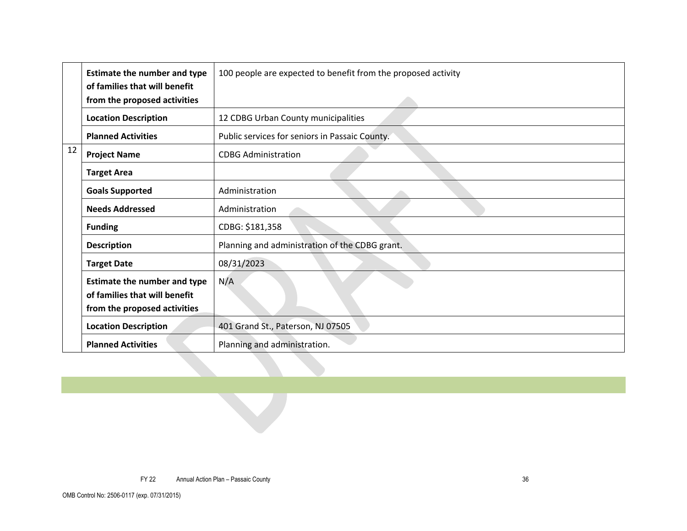|    | <b>Estimate the number and type</b> | 100 people are expected to benefit from the proposed activity |
|----|-------------------------------------|---------------------------------------------------------------|
|    | of families that will benefit       |                                                               |
|    | from the proposed activities        |                                                               |
|    | <b>Location Description</b>         | 12 CDBG Urban County municipalities                           |
|    | <b>Planned Activities</b>           | Public services for seniors in Passaic County.                |
| 12 | <b>Project Name</b>                 | <b>CDBG Administration</b>                                    |
|    | <b>Target Area</b>                  |                                                               |
|    | <b>Goals Supported</b>              | Administration                                                |
|    | <b>Needs Addressed</b>              | Administration                                                |
|    | <b>Funding</b>                      | CDBG: \$181,358                                               |
|    | <b>Description</b>                  | Planning and administration of the CDBG grant.                |
|    | <b>Target Date</b>                  | 08/31/2023                                                    |
|    | <b>Estimate the number and type</b> | N/A                                                           |
|    | of families that will benefit       |                                                               |
|    | from the proposed activities        |                                                               |
|    | <b>Location Description</b>         | 401 Grand St., Paterson, NJ 07505                             |
|    | <b>Planned Activities</b>           | Planning and administration.                                  |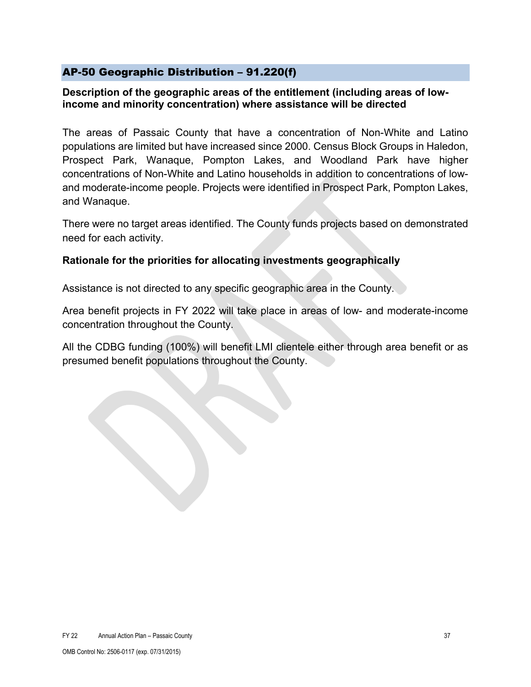### <span id="page-36-0"></span>AP-50 Geographic Distribution – 91.220(f)

#### **Description of the geographic areas of the entitlement (including areas of lowincome and minority concentration) where assistance will be directed**

The areas of Passaic County that have a concentration of Non-White and Latino populations are limited but have increased since 2000. Census Block Groups in Haledon, Prospect Park, Wanaque, Pompton Lakes, and Woodland Park have higher concentrations of Non-White and Latino households in addition to concentrations of lowand moderate-income people. Projects were identified in Prospect Park, Pompton Lakes, and Wanaque.

There were no target areas identified. The County funds projects based on demonstrated need for each activity.

### **Rationale for the priorities for allocating investments geographically**

Assistance is not directed to any specific geographic area in the County.

Area benefit projects in FY 2022 will take place in areas of low- and moderate-income concentration throughout the County.

All the CDBG funding (100%) will benefit LMI clientele either through area benefit or as presumed benefit populations throughout the County.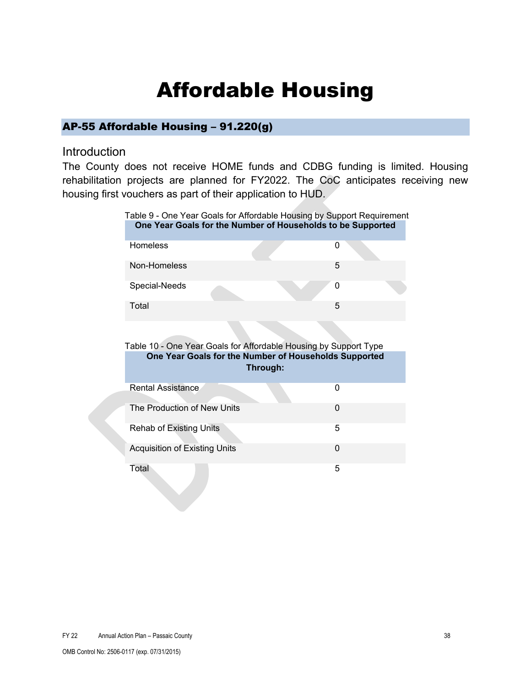# Affordable Housing

### <span id="page-37-1"></span><span id="page-37-0"></span>AP-55 Affordable Housing – 91.220(g)

#### Introduction

The County does not receive HOME funds and CDBG funding is limited. Housing rehabilitation projects are planned for FY2022. The CoC anticipates receiving new housing first vouchers as part of their application to HUD.

|                                      | Table 9 - One Year Goals for Affordable Housing by Support Requirement<br>One Year Goals for the Number of Households to be Supported |
|--------------------------------------|---------------------------------------------------------------------------------------------------------------------------------------|
| <b>Homeless</b>                      | 0                                                                                                                                     |
| Non-Homeless                         | 5                                                                                                                                     |
| Special-Needs                        | 0                                                                                                                                     |
| Total                                | 5                                                                                                                                     |
|                                      |                                                                                                                                       |
|                                      | Table 10 - One Year Goals for Affordable Housing by Support Type                                                                      |
|                                      | One Year Goals for the Number of Households Supported                                                                                 |
|                                      | Through:                                                                                                                              |
| Rental Assistance                    | $\Omega$                                                                                                                              |
| The Production of New Units          | 0                                                                                                                                     |
| <b>Rehab of Existing Units</b>       | 5                                                                                                                                     |
| <b>Acquisition of Existing Units</b> | 0                                                                                                                                     |
| Total                                | 5                                                                                                                                     |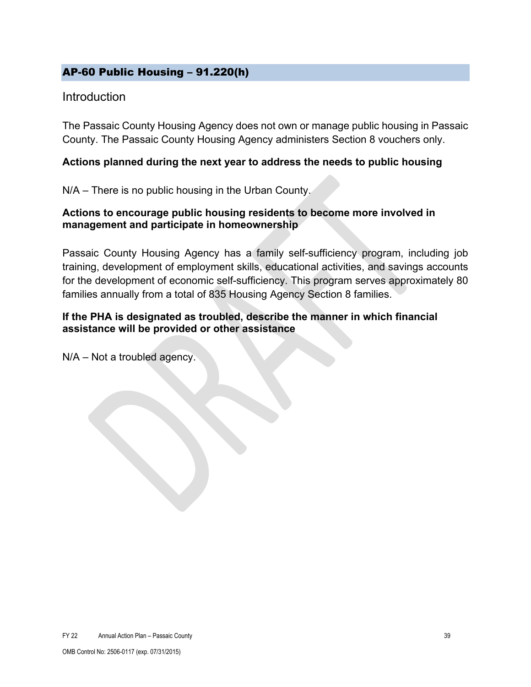### <span id="page-38-0"></span>AP-60 Public Housing – 91.220(h)

### **Introduction**

The Passaic County Housing Agency does not own or manage public housing in Passaic County. The Passaic County Housing Agency administers Section 8 vouchers only.

#### **Actions planned during the next year to address the needs to public housing**

N/A – There is no public housing in the Urban County.

### **Actions to encourage public housing residents to become more involved in management and participate in homeownership**

Passaic County Housing Agency has a family self-sufficiency program, including job training, development of employment skills, educational activities, and savings accounts for the development of economic self-sufficiency. This program serves approximately 80 families annually from a total of 835 Housing Agency Section 8 families.

### **If the PHA is designated as troubled, describe the manner in which financial assistance will be provided or other assistance**

N/A – Not a troubled agency.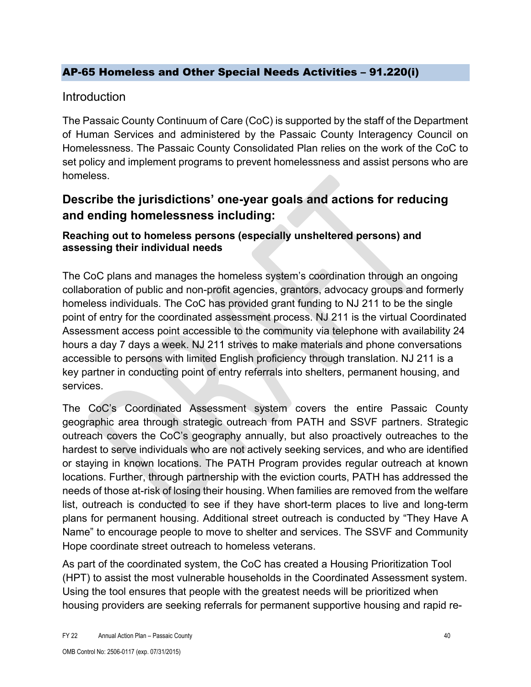### <span id="page-39-0"></span>AP-65 Homeless and Other Special Needs Activities – 91.220(i)

### **Introduction**

The Passaic County Continuum of Care (CoC) is supported by the staff of the Department of Human Services and administered by the Passaic County Interagency Council on Homelessness. The Passaic County Consolidated Plan relies on the work of the CoC to set policy and implement programs to prevent homelessness and assist persons who are homeless.

## **Describe the jurisdictions' one-year goals and actions for reducing and ending homelessness including:**

### **Reaching out to homeless persons (especially unsheltered persons) and assessing their individual needs**

The CoC plans and manages the homeless system's coordination through an ongoing collaboration of public and non-profit agencies, grantors, advocacy groups and formerly homeless individuals. The CoC has provided grant funding to NJ 211 to be the single point of entry for the coordinated assessment process. NJ 211 is the virtual Coordinated Assessment access point accessible to the community via telephone with availability 24 hours a day 7 days a week. NJ 211 strives to make materials and phone conversations accessible to persons with limited English proficiency through translation. NJ 211 is a key partner in conducting point of entry referrals into shelters, permanent housing, and services.

The CoC's Coordinated Assessment system covers the entire Passaic County geographic area through strategic outreach from PATH and SSVF partners. Strategic outreach covers the CoC's geography annually, but also proactively outreaches to the hardest to serve individuals who are not actively seeking services, and who are identified or staying in known locations. The PATH Program provides regular outreach at known locations. Further, through partnership with the eviction courts, PATH has addressed the needs of those at-risk of losing their housing. When families are removed from the welfare list, outreach is conducted to see if they have short-term places to live and long-term plans for permanent housing. Additional street outreach is conducted by "They Have A Name" to encourage people to move to shelter and services. The SSVF and Community Hope coordinate street outreach to homeless veterans.

As part of the coordinated system, the CoC has created a Housing Prioritization Tool (HPT) to assist the most vulnerable households in the Coordinated Assessment system. Using the tool ensures that people with the greatest needs will be prioritized when housing providers are seeking referrals for permanent supportive housing and rapid re-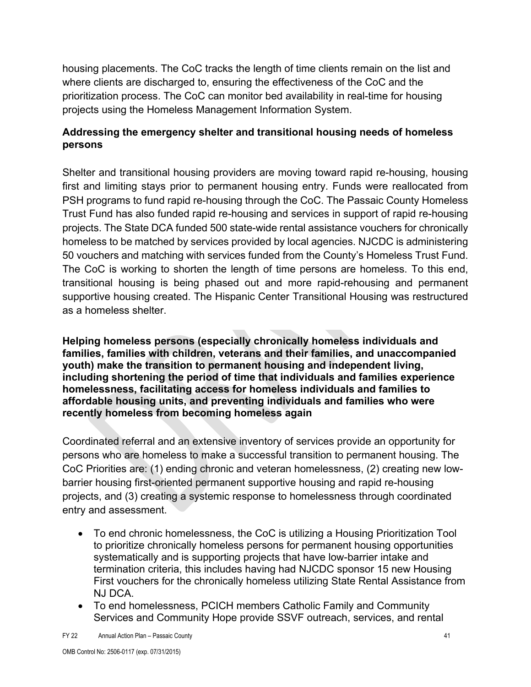housing placements. The CoC tracks the length of time clients remain on the list and where clients are discharged to, ensuring the effectiveness of the CoC and the prioritization process. The CoC can monitor bed availability in real-time for housing projects using the Homeless Management Information System.

### **Addressing the emergency shelter and transitional housing needs of homeless persons**

Shelter and transitional housing providers are moving toward rapid re-housing, housing first and limiting stays prior to permanent housing entry. Funds were reallocated from PSH programs to fund rapid re-housing through the CoC. The Passaic County Homeless Trust Fund has also funded rapid re-housing and services in support of rapid re-housing projects. The State DCA funded 500 state-wide rental assistance vouchers for chronically homeless to be matched by services provided by local agencies. NJCDC is administering 50 vouchers and matching with services funded from the County's Homeless Trust Fund. The CoC is working to shorten the length of time persons are homeless. To this end, transitional housing is being phased out and more rapid-rehousing and permanent supportive housing created. The Hispanic Center Transitional Housing was restructured as a homeless shelter.

**Helping homeless persons (especially chronically homeless individuals and families, families with children, veterans and their families, and unaccompanied youth) make the transition to permanent housing and independent living, including shortening the period of time that individuals and families experience homelessness, facilitating access for homeless individuals and families to affordable housing units, and preventing individuals and families who were recently homeless from becoming homeless again**

Coordinated referral and an extensive inventory of services provide an opportunity for persons who are homeless to make a successful transition to permanent housing. The CoC Priorities are: (1) ending chronic and veteran homelessness, (2) creating new lowbarrier housing first-oriented permanent supportive housing and rapid re-housing projects, and (3) creating a systemic response to homelessness through coordinated entry and assessment.

- To end chronic homelessness, the CoC is utilizing a Housing Prioritization Tool to prioritize chronically homeless persons for permanent housing opportunities systematically and is supporting projects that have low-barrier intake and termination criteria, this includes having had NJCDC sponsor 15 new Housing First vouchers for the chronically homeless utilizing State Rental Assistance from NJ DCA.
- To end homelessness, PCICH members Catholic Family and Community Services and Community Hope provide SSVF outreach, services, and rental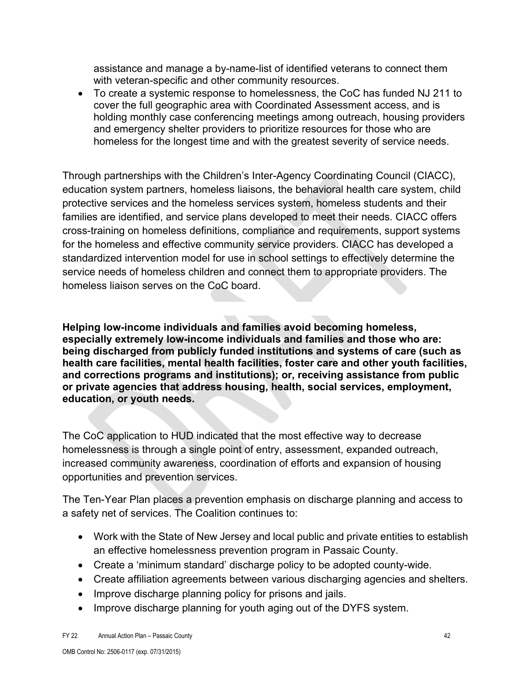assistance and manage a by-name-list of identified veterans to connect them with veteran-specific and other community resources.

• To create a systemic response to homelessness, the CoC has funded NJ 211 to cover the full geographic area with Coordinated Assessment access, and is holding monthly case conferencing meetings among outreach, housing providers and emergency shelter providers to prioritize resources for those who are homeless for the longest time and with the greatest severity of service needs.

Through partnerships with the Children's Inter-Agency Coordinating Council (CIACC), education system partners, homeless liaisons, the behavioral health care system, child protective services and the homeless services system, homeless students and their families are identified, and service plans developed to meet their needs. CIACC offers cross-training on homeless definitions, compliance and requirements, support systems for the homeless and effective community service providers. CIACC has developed a standardized intervention model for use in school settings to effectively determine the service needs of homeless children and connect them to appropriate providers. The homeless liaison serves on the CoC board.

**Helping low-income individuals and families avoid becoming homeless, especially extremely low-income individuals and families and those who are: being discharged from publicly funded institutions and systems of care (such as health care facilities, mental health facilities, foster care and other youth facilities, and corrections programs and institutions); or, receiving assistance from public or private agencies that address housing, health, social services, employment, education, or youth needs.**

The CoC application to HUD indicated that the most effective way to decrease homelessness is through a single point of entry, assessment, expanded outreach, increased community awareness, coordination of efforts and expansion of housing opportunities and prevention services.

The Ten-Year Plan places a prevention emphasis on discharge planning and access to a safety net of services. The Coalition continues to:

- Work with the State of New Jersey and local public and private entities to establish an effective homelessness prevention program in Passaic County.
- Create a 'minimum standard' discharge policy to be adopted county-wide.
- Create affiliation agreements between various discharging agencies and shelters.
- Improve discharge planning policy for prisons and jails.
- Improve discharge planning for youth aging out of the DYFS system.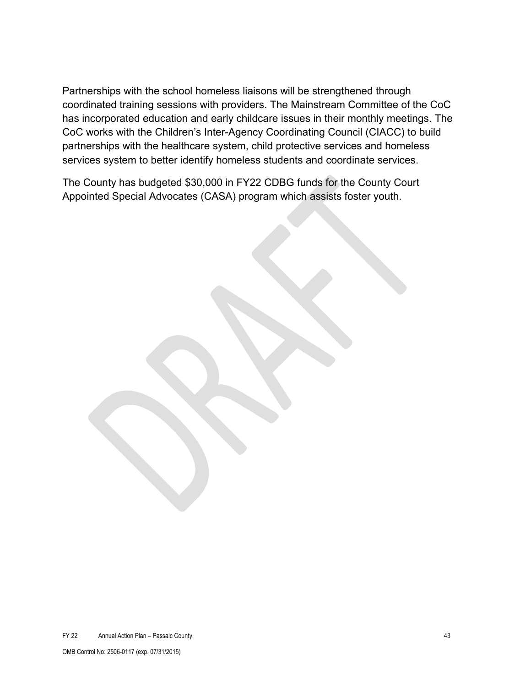Partnerships with the school homeless liaisons will be strengthened through coordinated training sessions with providers. The Mainstream Committee of the CoC has incorporated education and early childcare issues in their monthly meetings. The CoC works with the Children's Inter-Agency Coordinating Council (CIACC) to build partnerships with the healthcare system, child protective services and homeless services system to better identify homeless students and coordinate services.

The County has budgeted \$30,000 in FY22 CDBG funds for the County Court Appointed Special Advocates (CASA) program which assists foster youth.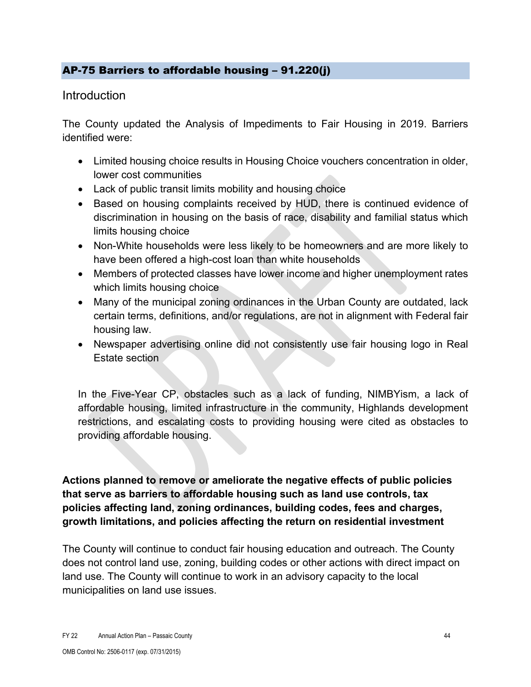### <span id="page-43-0"></span>AP-75 Barriers to affordable housing – 91.220(j)

### **Introduction**

The County updated the Analysis of Impediments to Fair Housing in 2019. Barriers identified were:

- Limited housing choice results in Housing Choice vouchers concentration in older, lower cost communities
- Lack of public transit limits mobility and housing choice
- Based on housing complaints received by HUD, there is continued evidence of discrimination in housing on the basis of race, disability and familial status which limits housing choice
- Non-White households were less likely to be homeowners and are more likely to have been offered a high-cost loan than white households
- Members of protected classes have lower income and higher unemployment rates which limits housing choice
- Many of the municipal zoning ordinances in the Urban County are outdated, lack certain terms, definitions, and/or regulations, are not in alignment with Federal fair housing law.
- Newspaper advertising online did not consistently use fair housing logo in Real Estate section

In the Five-Year CP, obstacles such as a lack of funding, NIMBYism, a lack of affordable housing, limited infrastructure in the community, Highlands development restrictions, and escalating costs to providing housing were cited as obstacles to providing affordable housing.

**Actions planned to remove or ameliorate the negative effects of public policies that serve as barriers to affordable housing such as land use controls, tax policies affecting land, zoning ordinances, building codes, fees and charges, growth limitations, and policies affecting the return on residential investment**

The County will continue to conduct fair housing education and outreach. The County does not control land use, zoning, building codes or other actions with direct impact on land use. The County will continue to work in an advisory capacity to the local municipalities on land use issues.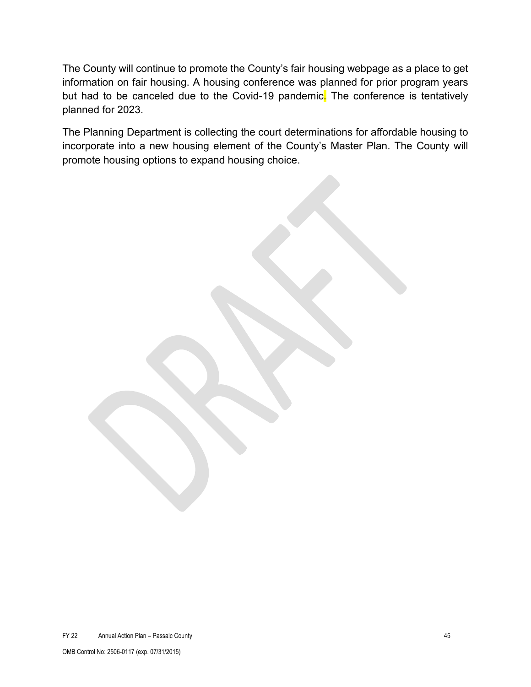The County will continue to promote the County's fair housing webpage as a place to get information on fair housing. A housing conference was planned for prior program years but had to be canceled due to the Covid-19 pandemic. The conference is tentatively planned for 2023.

The Planning Department is collecting the court determinations for affordable housing to incorporate into a new housing element of the County's Master Plan. The County will promote housing options to expand housing choice.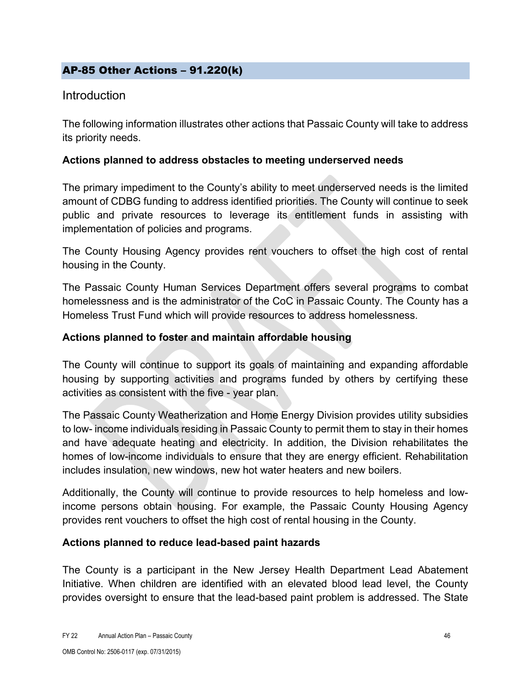### <span id="page-45-0"></span>AP-85 Other Actions – 91.220(k)

### **Introduction**

The following information illustrates other actions that Passaic County will take to address its priority needs.

### **Actions planned to address obstacles to meeting underserved needs**

The primary impediment to the County's ability to meet underserved needs is the limited amount of CDBG funding to address identified priorities. The County will continue to seek public and private resources to leverage its entitlement funds in assisting with implementation of policies and programs.

The County Housing Agency provides rent vouchers to offset the high cost of rental housing in the County.

The Passaic County Human Services Department offers several programs to combat homelessness and is the administrator of the CoC in Passaic County. The County has a Homeless Trust Fund which will provide resources to address homelessness.

### **Actions planned to foster and maintain affordable housing**

The County will continue to support its goals of maintaining and expanding affordable housing by supporting activities and programs funded by others by certifying these activities as consistent with the five - year plan.

The Passaic County Weatherization and Home Energy Division provides utility subsidies to low- income individuals residing in Passaic County to permit them to stay in their homes and have adequate heating and electricity. In addition, the Division rehabilitates the homes of low-income individuals to ensure that they are energy efficient. Rehabilitation includes insulation, new windows, new hot water heaters and new boilers.

Additionally, the County will continue to provide resources to help homeless and lowincome persons obtain housing. For example, the Passaic County Housing Agency provides rent vouchers to offset the high cost of rental housing in the County.

#### **Actions planned to reduce lead-based paint hazards**

The County is a participant in the New Jersey Health Department Lead Abatement Initiative. When children are identified with an elevated blood lead level, the County provides oversight to ensure that the lead-based paint problem is addressed. The State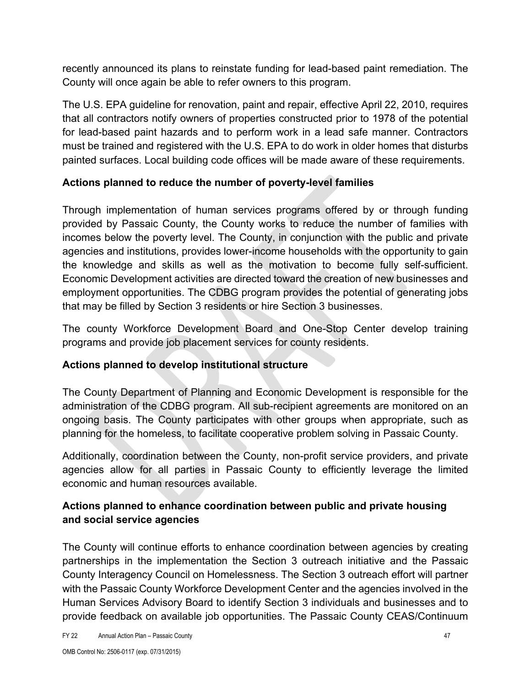recently announced its plans to reinstate funding for lead-based paint remediation. The County will once again be able to refer owners to this program.

The U.S. EPA guideline for renovation, paint and repair, effective April 22, 2010, requires that all contractors notify owners of properties constructed prior to 1978 of the potential for lead-based paint hazards and to perform work in a lead safe manner. Contractors must be trained and registered with the U.S. EPA to do work in older homes that disturbs painted surfaces. Local building code offices will be made aware of these requirements.

### **Actions planned to reduce the number of poverty-level families**

Through implementation of human services programs offered by or through funding provided by Passaic County, the County works to reduce the number of families with incomes below the poverty level. The County, in conjunction with the public and private agencies and institutions, provides lower-income households with the opportunity to gain the knowledge and skills as well as the motivation to become fully self-sufficient. Economic Development activities are directed toward the creation of new businesses and employment opportunities. The CDBG program provides the potential of generating jobs that may be filled by Section 3 residents or hire Section 3 businesses.

The county Workforce Development Board and One-Stop Center develop training programs and provide job placement services for county residents.

### **Actions planned to develop institutional structure**

The County Department of Planning and Economic Development is responsible for the administration of the CDBG program. All sub-recipient agreements are monitored on an ongoing basis. The County participates with other groups when appropriate, such as planning for the homeless, to facilitate cooperative problem solving in Passaic County.

Additionally, coordination between the County, non-profit service providers, and private agencies allow for all parties in Passaic County to efficiently leverage the limited economic and human resources available.

### **Actions planned to enhance coordination between public and private housing and social service agencies**

The County will continue efforts to enhance coordination between agencies by creating partnerships in the implementation the Section 3 outreach initiative and the Passaic County Interagency Council on Homelessness. The Section 3 outreach effort will partner with the Passaic County Workforce Development Center and the agencies involved in the Human Services Advisory Board to identify Section 3 individuals and businesses and to provide feedback on available job opportunities. The Passaic County CEAS/Continuum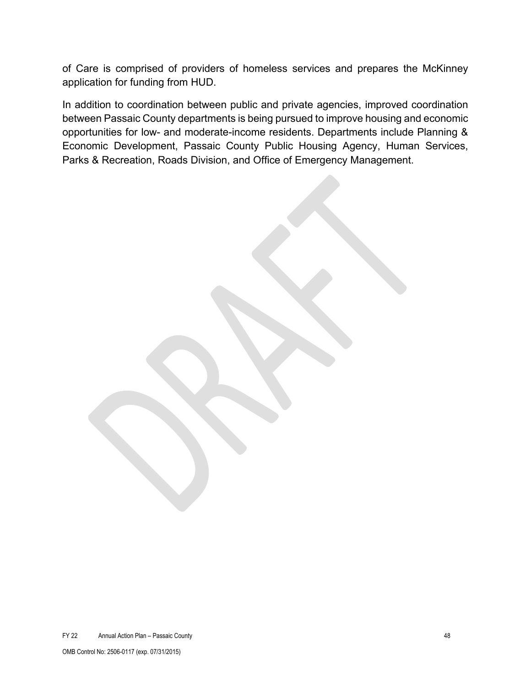of Care is comprised of providers of homeless services and prepares the McKinney application for funding from HUD.

In addition to coordination between public and private agencies, improved coordination between Passaic County departments is being pursued to improve housing and economic opportunities for low- and moderate-income residents. Departments include Planning & Economic Development, Passaic County Public Housing Agency, Human Services, Parks & Recreation, Roads Division, and Office of Emergency Management.